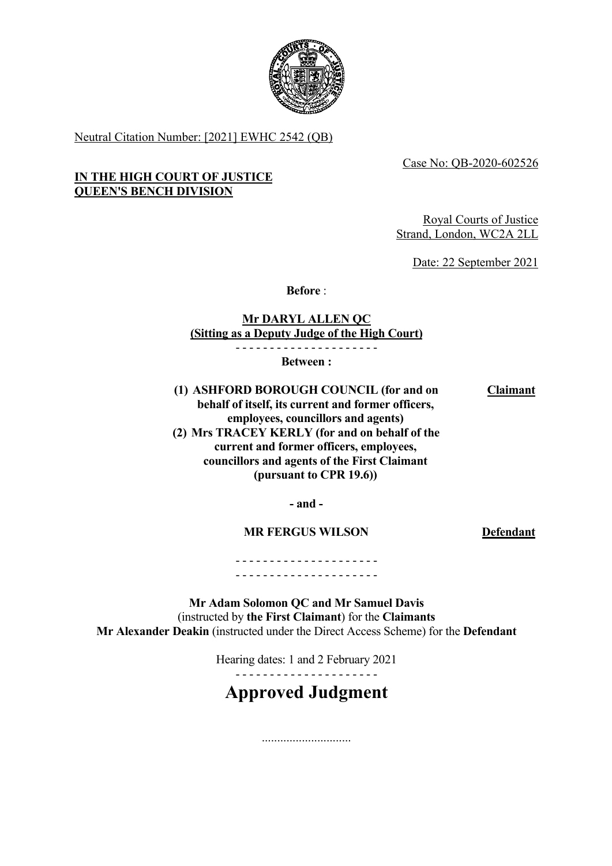

Neutral Citation Number: [2021] EWHC 2542 (QB)

Case No: QB-2020-602526

# **IN THE HIGH COURT OF JUSTICE QUEEN'S BENCH DIVISION**

Royal Courts of Justice Strand, London, WC2A 2LL

Date: 22 September 2021

**Before** :

#### **Mr DARYL ALLEN QC (Sitting as a Deputy Judge of the High Court)** - - - - - - - - - - - - - - - - - - - - -

**Between :**

**(1) ASHFORD BOROUGH COUNCIL (for and on behalf of itself, its current and former officers, employees, councillors and agents) (2) Mrs TRACEY KERLY (for and on behalf of the current and former officers, employees, councillors and agents of the First Claimant (pursuant to CPR 19.6)) Claimant**

**- and -**

**MR FERGUS WILSON Defendant**

- - - - - - - - - - - - - - - - - - - - - - - - - - - - - - - - - - - - - - - - - -

**Mr Adam Solomon QC and Mr Samuel Davis** (instructed by **the First Claimant**) for the **Claimants Mr Alexander Deakin** (instructed under the Direct Access Scheme) for the **Defendant**

Hearing dates: 1 and 2 February 2021

- - - - - - - - - - - - - - - - - - - - -

**Approved Judgment**

.............................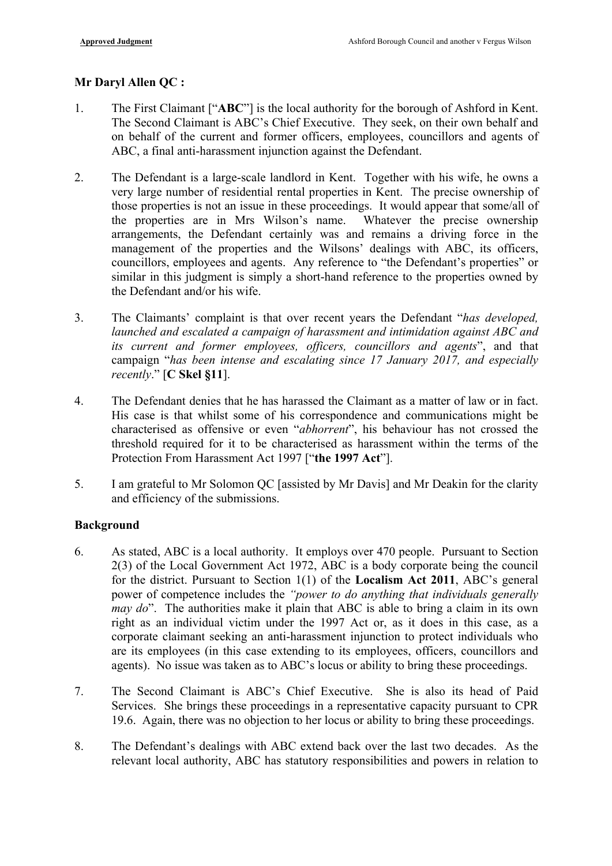# **Mr Daryl Allen QC :**

- 1. The First Claimant ["**ABC**"] is the local authority for the borough of Ashford in Kent. The Second Claimant is ABC's Chief Executive. They seek, on their own behalf and on behalf of the current and former officers, employees, councillors and agents of ABC, a final anti-harassment injunction against the Defendant.
- 2. The Defendant is a large-scale landlord in Kent. Together with his wife, he owns a very large number of residential rental properties in Kent. The precise ownership of those properties is not an issue in these proceedings. It would appear that some/all of the properties are in Mrs Wilson's name. Whatever the precise ownership arrangements, the Defendant certainly was and remains a driving force in the management of the properties and the Wilsons' dealings with ABC, its officers, councillors, employees and agents. Any reference to "the Defendant's properties" or similar in this judgment is simply a short-hand reference to the properties owned by the Defendant and/or his wife.
- 3. The Claimants' complaint is that over recent years the Defendant "*has developed, launched and escalated a campaign of harassment and intimidation against ABC and its current and former employees, officers, councillors and agents*", and that campaign "*has been intense and escalating since 17 January 2017, and especially recently*." [**C Skel §11**].
- 4. The Defendant denies that he has harassed the Claimant as a matter of law or in fact. His case is that whilst some of his correspondence and communications might be characterised as offensive or even "*abhorrent*", his behaviour has not crossed the threshold required for it to be characterised as harassment within the terms of the Protection From Harassment Act 1997 ["**the 1997 Act**"].
- 5. I am grateful to Mr Solomon QC [assisted by Mr Davis] and Mr Deakin for the clarity and efficiency of the submissions.

# **Background**

- 6. As stated, ABC is a local authority. It employs over 470 people. Pursuant to Section 2(3) of the Local Government Act 1972, ABC is a body corporate being the council for the district. Pursuant to Section 1(1) of the **Localism Act 2011**, ABC's general power of competence includes the *"power to do anything that individuals generally may do*". The authorities make it plain that ABC is able to bring a claim in its own right as an individual victim under the 1997 Act or, as it does in this case, as a corporate claimant seeking an anti-harassment injunction to protect individuals who are its employees (in this case extending to its employees, officers, councillors and agents). No issue was taken as to ABC's locus or ability to bring these proceedings.
- 7. The Second Claimant is ABC's Chief Executive. She is also its head of Paid Services. She brings these proceedings in a representative capacity pursuant to CPR 19.6. Again, there was no objection to her locus or ability to bring these proceedings.
- 8. The Defendant's dealings with ABC extend back over the last two decades. As the relevant local authority, ABC has statutory responsibilities and powers in relation to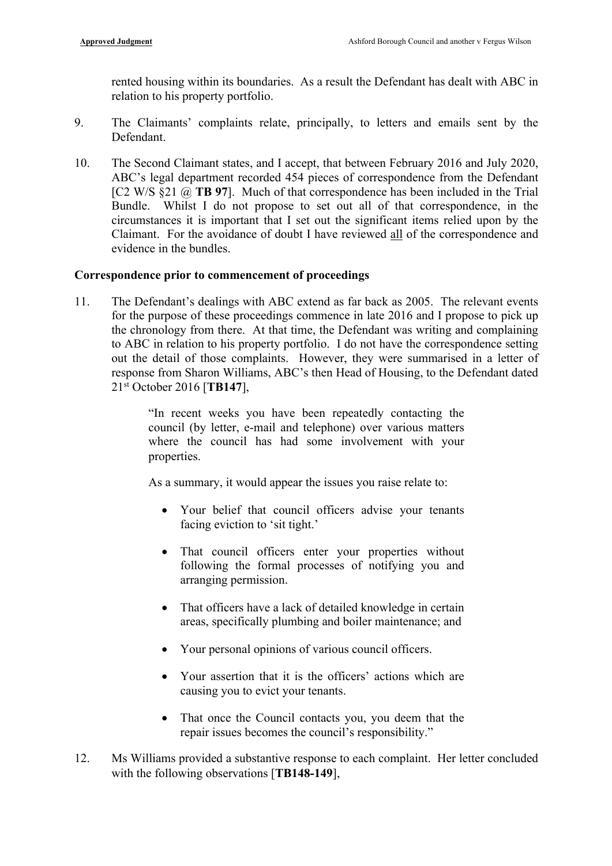rented housing within its boundaries. As a result the Defendant has dealt with ABC in relation to his property portfolio.

- 9. The Claimants' complaints relate, principally, to letters and emails sent by the Defendant.
- 10. The Second Claimant states, and I accept, that between February 2016 and July 2020, ABC's legal department recorded 454 pieces of correspondence from the Defendant [C2 W/S §21 @ **TB 97**]. Much of that correspondence has been included in the Trial Bundle. Whilst I do not propose to set out all of that correspondence, in the circumstances it is important that I set out the significant items relied upon by the Claimant. For the avoidance of doubt I have reviewed all of the correspondence and evidence in the bundles.

# **Correspondence prior to commencement of proceedings**

11. The Defendant's dealings with ABC extend as far back as 2005. The relevant events for the purpose of these proceedings commence in late 2016 and I propose to pick up the chronology from there. At that time, the Defendant was writing and complaining to ABC in relation to his property portfolio. I do not have the correspondence setting out the detail of those complaints. However, they were summarised in a letter of response from Sharon Williams, ABC's then Head of Housing, to the Defendant dated 21st October 2016 [**TB147**],

> "In recent weeks you have been repeatedly contacting the council (by letter, e-mail and telephone) over various matters where the council has had some involvement with your properties.

As a summary, it would appear the issues you raise relate to:

- Your belief that council officers advise your tenants facing eviction to 'sit tight.'
- That council officers enter your properties without following the formal processes of notifying you and arranging permission.
- That officers have a lack of detailed knowledge in certain areas, specifically plumbing and boiler maintenance; and
- Your personal opinions of various council officers.
- Your assertion that it is the officers' actions which are causing you to evict your tenants.
- That once the Council contacts you, you deem that the repair issues becomes the council's responsibility."
- 12. Ms Williams provided a substantive response to each complaint. Her letter concluded with the following observations [**TB148-149**],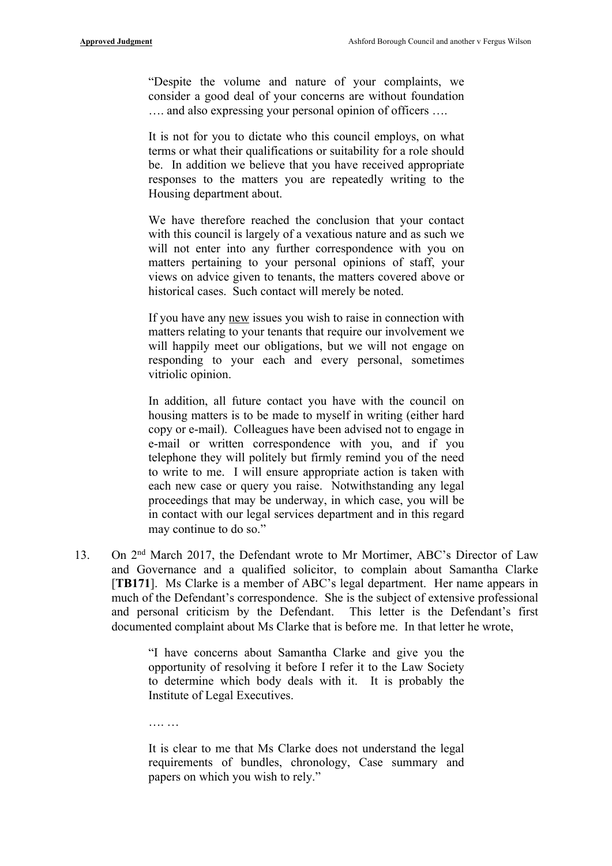"Despite the volume and nature of your complaints, we consider a good deal of your concerns are without foundation …. and also expressing your personal opinion of officers ….

It is not for you to dictate who this council employs, on what terms or what their qualifications or suitability for a role should be. In addition we believe that you have received appropriate responses to the matters you are repeatedly writing to the Housing department about.

We have therefore reached the conclusion that your contact with this council is largely of a vexatious nature and as such we will not enter into any further correspondence with you on matters pertaining to your personal opinions of staff, your views on advice given to tenants, the matters covered above or historical cases. Such contact will merely be noted.

If you have any new issues you wish to raise in connection with matters relating to your tenants that require our involvement we will happily meet our obligations, but we will not engage on responding to your each and every personal, sometimes vitriolic opinion.

In addition, all future contact you have with the council on housing matters is to be made to myself in writing (either hard copy or e-mail). Colleagues have been advised not to engage in e-mail or written correspondence with you, and if you telephone they will politely but firmly remind you of the need to write to me. I will ensure appropriate action is taken with each new case or query you raise. Notwithstanding any legal proceedings that may be underway, in which case, you will be in contact with our legal services department and in this regard may continue to do so."

13. On 2nd March 2017, the Defendant wrote to Mr Mortimer, ABC's Director of Law and Governance and a qualified solicitor, to complain about Samantha Clarke [**TB171**]. Ms Clarke is a member of ABC's legal department. Her name appears in much of the Defendant's correspondence. She is the subject of extensive professional and personal criticism by the Defendant. This letter is the Defendant's first documented complaint about Ms Clarke that is before me. In that letter he wrote,

> "I have concerns about Samantha Clarke and give you the opportunity of resolving it before I refer it to the Law Society to determine which body deals with it. It is probably the Institute of Legal Executives.

………

It is clear to me that Ms Clarke does not understand the legal requirements of bundles, chronology, Case summary and papers on which you wish to rely."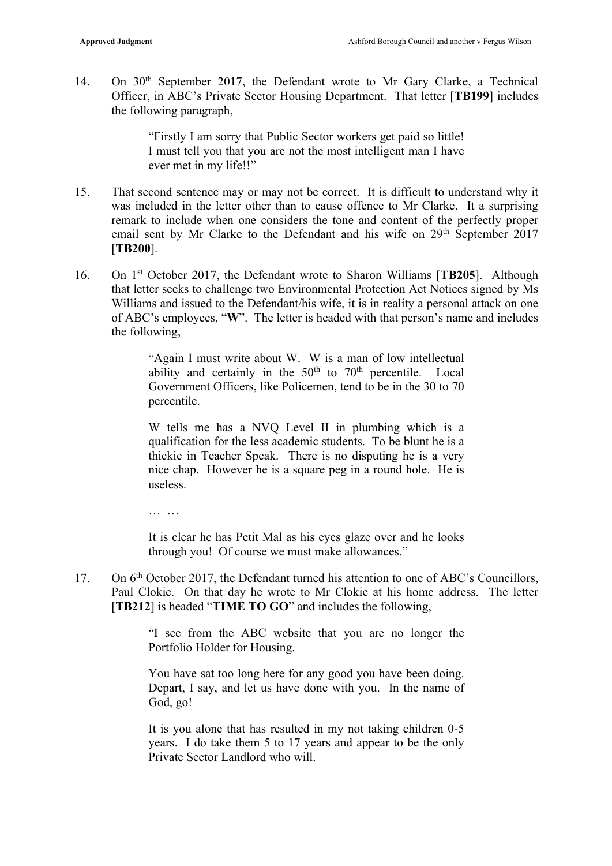14. On 30<sup>th</sup> September 2017, the Defendant wrote to Mr Gary Clarke, a Technical Officer, in ABC's Private Sector Housing Department. That letter [**TB199**] includes the following paragraph,

> "Firstly I am sorry that Public Sector workers get paid so little! I must tell you that you are not the most intelligent man I have ever met in my life!!"

- 15. That second sentence may or may not be correct. It is difficult to understand why it was included in the letter other than to cause offence to Mr Clarke. It a surprising remark to include when one considers the tone and content of the perfectly proper email sent by Mr Clarke to the Defendant and his wife on 29<sup>th</sup> September 2017 [**TB200**].
- 16. On 1st October 2017, the Defendant wrote to Sharon Williams [**TB205**]. Although that letter seeks to challenge two Environmental Protection Act Notices signed by Ms Williams and issued to the Defendant/his wife, it is in reality a personal attack on one of ABC's employees, "**W**". The letter is headed with that person's name and includes the following,

"Again I must write about W. W is a man of low intellectual ability and certainly in the  $50<sup>th</sup>$  to  $70<sup>th</sup>$  percentile. Local Government Officers, like Policemen, tend to be in the 30 to 70 percentile.

W tells me has a NVQ Level II in plumbing which is a qualification for the less academic students. To be blunt he is a thickie in Teacher Speak. There is no disputing he is a very nice chap. However he is a square peg in a round hole. He is useless.

… …

It is clear he has Petit Mal as his eyes glaze over and he looks through you! Of course we must make allowances."

17. On 6<sup>th</sup> October 2017, the Defendant turned his attention to one of ABC's Councillors, Paul Clokie. On that day he wrote to Mr Clokie at his home address. The letter [**TB212**] is headed "**TIME TO GO**" and includes the following,

> "I see from the ABC website that you are no longer the Portfolio Holder for Housing.

> You have sat too long here for any good you have been doing. Depart, I say, and let us have done with you. In the name of God, go!

> It is you alone that has resulted in my not taking children 0-5 years. I do take them 5 to 17 years and appear to be the only Private Sector Landlord who will.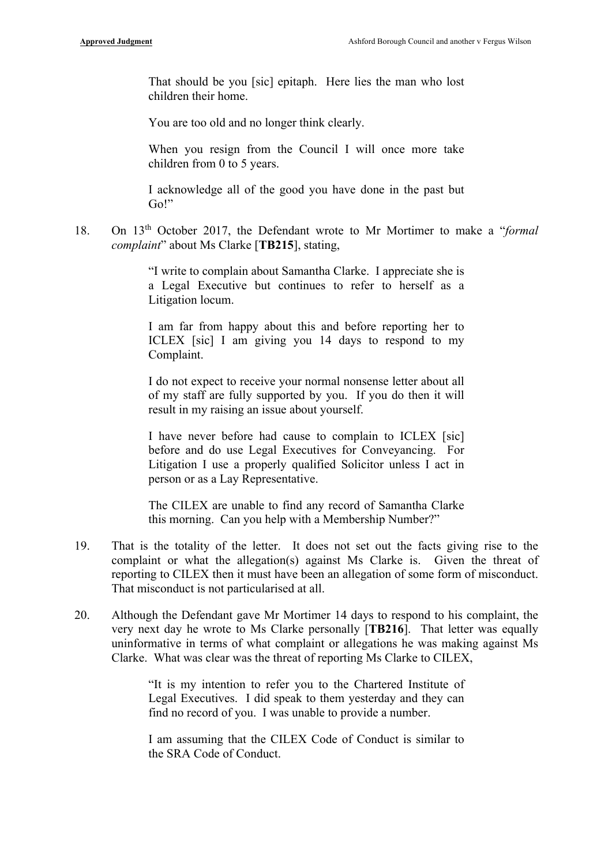That should be you [sic] epitaph. Here lies the man who lost children their home.

You are too old and no longer think clearly.

When you resign from the Council I will once more take children from 0 to 5 years.

I acknowledge all of the good you have done in the past but Go!"

18. On 13th October 2017, the Defendant wrote to Mr Mortimer to make a "*formal complaint*" about Ms Clarke [**TB215**], stating,

> "I write to complain about Samantha Clarke. I appreciate she is a Legal Executive but continues to refer to herself as a Litigation locum.

> I am far from happy about this and before reporting her to ICLEX [sic] I am giving you 14 days to respond to my Complaint.

> I do not expect to receive your normal nonsense letter about all of my staff are fully supported by you. If you do then it will result in my raising an issue about yourself.

> I have never before had cause to complain to ICLEX [sic] before and do use Legal Executives for Conveyancing. For Litigation I use a properly qualified Solicitor unless I act in person or as a Lay Representative.

> The CILEX are unable to find any record of Samantha Clarke this morning. Can you help with a Membership Number?"

- 19. That is the totality of the letter. It does not set out the facts giving rise to the complaint or what the allegation(s) against Ms Clarke is. Given the threat of reporting to CILEX then it must have been an allegation of some form of misconduct. That misconduct is not particularised at all.
- 20. Although the Defendant gave Mr Mortimer 14 days to respond to his complaint, the very next day he wrote to Ms Clarke personally [**TB216**]. That letter was equally uninformative in terms of what complaint or allegations he was making against Ms Clarke. What was clear was the threat of reporting Ms Clarke to CILEX,

"It is my intention to refer you to the Chartered Institute of Legal Executives. I did speak to them yesterday and they can find no record of you. I was unable to provide a number.

I am assuming that the CILEX Code of Conduct is similar to the SRA Code of Conduct.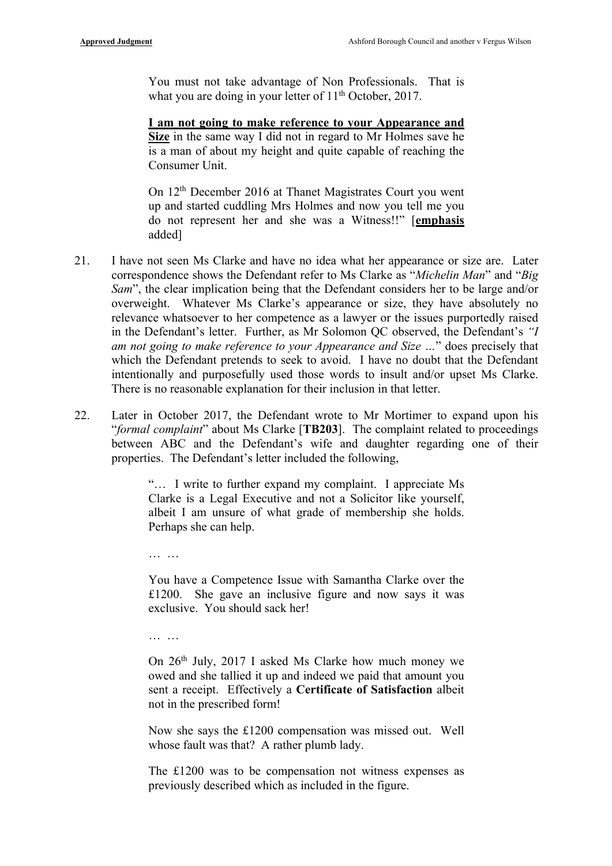You must not take advantage of Non Professionals. That is what you are doing in your letter of 11<sup>th</sup> October, 2017.

**I am not going to make reference to your Appearance and Size** in the same way I did not in regard to Mr Holmes save he is a man of about my height and quite capable of reaching the Consumer Unit.

On 12th December 2016 at Thanet Magistrates Court you went up and started cuddling Mrs Holmes and now you tell me you do not represent her and she was a Witness!!" [**emphasis** added]

- 21. I have not seen Ms Clarke and have no idea what her appearance or size are. Later correspondence shows the Defendant refer to Ms Clarke as "*Michelin Man*" and "*Big Sam*", the clear implication being that the Defendant considers her to be large and/or overweight. Whatever Ms Clarke's appearance or size, they have absolutely no relevance whatsoever to her competence as a lawyer or the issues purportedly raised in the Defendant's letter. Further, as Mr Solomon QC observed, the Defendant's *"I am not going to make reference to your Appearance and Size …*" does precisely that which the Defendant pretends to seek to avoid. I have no doubt that the Defendant intentionally and purposefully used those words to insult and/or upset Ms Clarke. There is no reasonable explanation for their inclusion in that letter.
- 22. Later in October 2017, the Defendant wrote to Mr Mortimer to expand upon his "*formal complaint*" about Ms Clarke [**TB203**]. The complaint related to proceedings between ABC and the Defendant's wife and daughter regarding one of their properties. The Defendant's letter included the following,

"… I write to further expand my complaint. I appreciate Ms Clarke is a Legal Executive and not a Solicitor like yourself, albeit I am unsure of what grade of membership she holds. Perhaps she can help.

You have a Competence Issue with Samantha Clarke over the £1200. She gave an inclusive figure and now says it was exclusive. You should sack her!

… …

… …

On  $26<sup>th</sup>$  July,  $2017$  I asked Ms Clarke how much money we owed and she tallied it up and indeed we paid that amount you sent a receipt. Effectively a **Certificate of Satisfaction** albeit not in the prescribed form!

Now she says the £1200 compensation was missed out. Well whose fault was that? A rather plumb lady.

The £1200 was to be compensation not witness expenses as previously described which as included in the figure.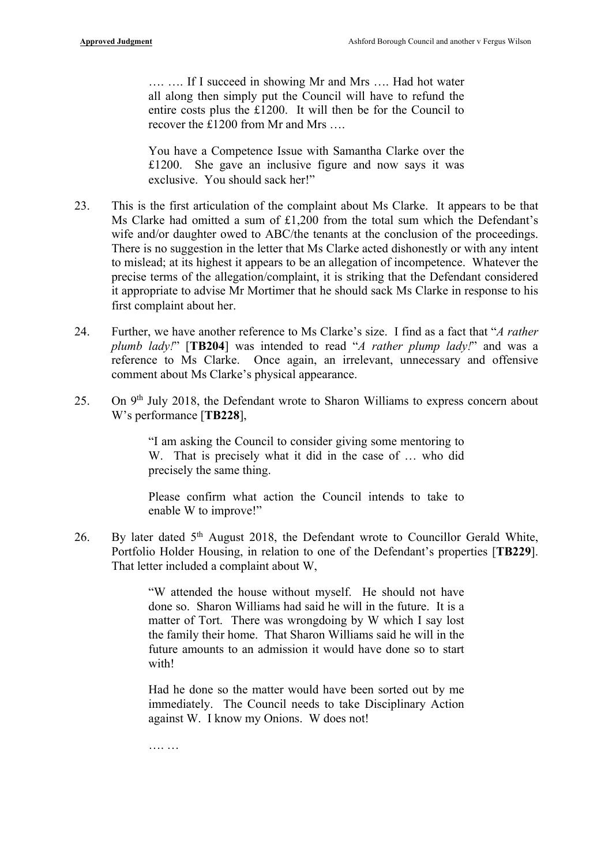…. …. If I succeed in showing Mr and Mrs …. Had hot water all along then simply put the Council will have to refund the entire costs plus the £1200. It will then be for the Council to recover the £1200 from Mr and Mrs ….

You have a Competence Issue with Samantha Clarke over the £1200. She gave an inclusive figure and now says it was exclusive. You should sack her!"

- 23. This is the first articulation of the complaint about Ms Clarke. It appears to be that Ms Clarke had omitted a sum of £1,200 from the total sum which the Defendant's wife and/or daughter owed to ABC/the tenants at the conclusion of the proceedings. There is no suggestion in the letter that Ms Clarke acted dishonestly or with any intent to mislead; at its highest it appears to be an allegation of incompetence. Whatever the precise terms of the allegation/complaint, it is striking that the Defendant considered it appropriate to advise Mr Mortimer that he should sack Ms Clarke in response to his first complaint about her.
- 24. Further, we have another reference to Ms Clarke's size. I find as a fact that "*A rather plumb lady!*" [**TB204**] was intended to read "*A rather plump lady!*" and was a reference to Ms Clarke. Once again, an irrelevant, unnecessary and offensive comment about Ms Clarke's physical appearance.
- 25. On 9th July 2018, the Defendant wrote to Sharon Williams to express concern about W's performance [**TB228**],

"I am asking the Council to consider giving some mentoring to W. That is precisely what it did in the case of … who did precisely the same thing.

Please confirm what action the Council intends to take to enable W to improve!"

26. By later dated  $5<sup>th</sup>$  August 2018, the Defendant wrote to Councillor Gerald White, Portfolio Holder Housing, in relation to one of the Defendant's properties [**TB229**]. That letter included a complaint about W,

> "W attended the house without myself. He should not have done so. Sharon Williams had said he will in the future. It is a matter of Tort. There was wrongdoing by W which I say lost the family their home. That Sharon Williams said he will in the future amounts to an admission it would have done so to start with!

> Had he done so the matter would have been sorted out by me immediately. The Council needs to take Disciplinary Action against W. I know my Onions. W does not!

…. …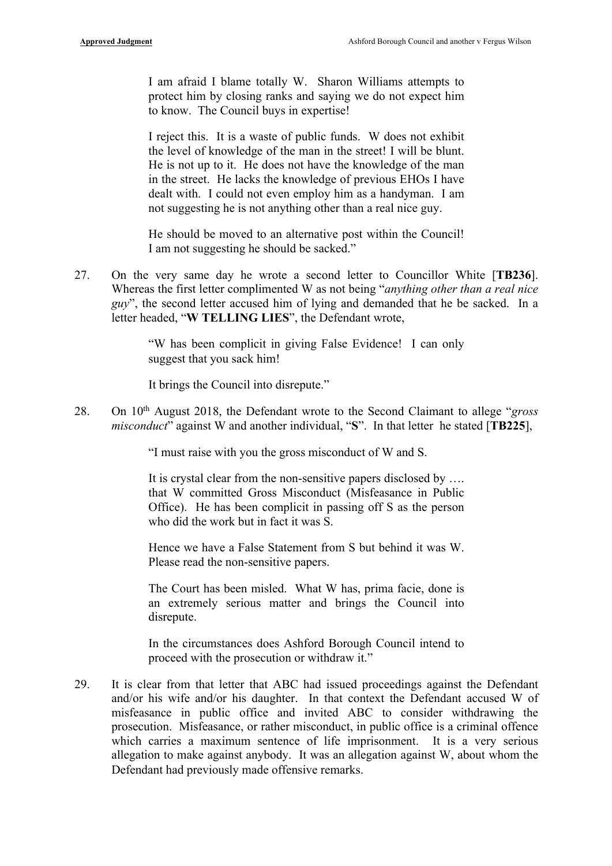I am afraid I blame totally W. Sharon Williams attempts to protect him by closing ranks and saying we do not expect him to know. The Council buys in expertise!

I reject this. It is a waste of public funds. W does not exhibit the level of knowledge of the man in the street! I will be blunt. He is not up to it. He does not have the knowledge of the man in the street. He lacks the knowledge of previous EHOs I have dealt with. I could not even employ him as a handyman. I am not suggesting he is not anything other than a real nice guy.

He should be moved to an alternative post within the Council! I am not suggesting he should be sacked."

27. On the very same day he wrote a second letter to Councillor White [**TB236**]. Whereas the first letter complimented W as not being "*anything other than a real nice guy*", the second letter accused him of lying and demanded that he be sacked. In a letter headed, "**W TELLING LIES**", the Defendant wrote,

> "W has been complicit in giving False Evidence! I can only suggest that you sack him!

It brings the Council into disrepute."

28. On 10th August 2018, the Defendant wrote to the Second Claimant to allege "*gross misconduct*" against W and another individual, "**S**". In that letter he stated [**TB225**],

"I must raise with you the gross misconduct of W and S.

It is crystal clear from the non-sensitive papers disclosed by …. that W committed Gross Misconduct (Misfeasance in Public Office). He has been complicit in passing off S as the person who did the work but in fact it was S.

Hence we have a False Statement from S but behind it was W. Please read the non-sensitive papers.

The Court has been misled. What W has, prima facie, done is an extremely serious matter and brings the Council into disrepute.

In the circumstances does Ashford Borough Council intend to proceed with the prosecution or withdraw it."

29. It is clear from that letter that ABC had issued proceedings against the Defendant and/or his wife and/or his daughter. In that context the Defendant accused W of misfeasance in public office and invited ABC to consider withdrawing the prosecution. Misfeasance, or rather misconduct, in public office is a criminal offence which carries a maximum sentence of life imprisonment. It is a very serious allegation to make against anybody. It was an allegation against W, about whom the Defendant had previously made offensive remarks.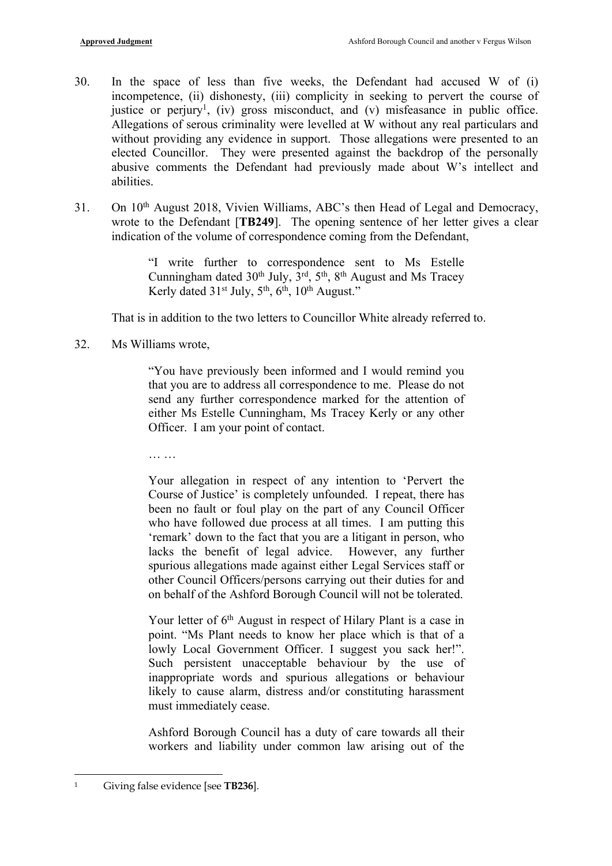- 30. In the space of less than five weeks, the Defendant had accused W of (i) incompetence, (ii) dishonesty, (iii) complicity in seeking to pervert the course of justice or perjury<sup>1</sup>, (iv) gross misconduct, and (v) misfeasance in public office. Allegations of serous criminality were levelled at W without any real particulars and without providing any evidence in support. Those allegations were presented to an elected Councillor. They were presented against the backdrop of the personally abusive comments the Defendant had previously made about W's intellect and abilities.
- 31. On 10<sup>th</sup> August 2018, Vivien Williams, ABC's then Head of Legal and Democracy, wrote to the Defendant [**TB249**]. The opening sentence of her letter gives a clear indication of the volume of correspondence coming from the Defendant,

"I write further to correspondence sent to Ms Estelle Cunningham dated  $30^{th}$  July,  $3^{rd}$ ,  $5^{th}$ ,  $8^{th}$  August and Ms Tracey Kerly dated  $31^{st}$  July,  $5^{th}$ ,  $6^{th}$ ,  $10^{th}$  August."

That is in addition to the two letters to Councillor White already referred to.

32. Ms Williams wrote,

"You have previously been informed and I would remind you that you are to address all correspondence to me. Please do not send any further correspondence marked for the attention of either Ms Estelle Cunningham, Ms Tracey Kerly or any other Officer. I am your point of contact.

… …

Your allegation in respect of any intention to 'Pervert the Course of Justice' is completely unfounded. I repeat, there has been no fault or foul play on the part of any Council Officer who have followed due process at all times. I am putting this 'remark' down to the fact that you are a litigant in person, who lacks the benefit of legal advice. However, any further spurious allegations made against either Legal Services staff or other Council Officers/persons carrying out their duties for and on behalf of the Ashford Borough Council will not be tolerated.

Your letter of 6<sup>th</sup> August in respect of Hilary Plant is a case in point. "Ms Plant needs to know her place which is that of a lowly Local Government Officer. I suggest you sack her!". Such persistent unacceptable behaviour by the use of inappropriate words and spurious allegations or behaviour likely to cause alarm, distress and/or constituting harassment must immediately cease.

Ashford Borough Council has a duty of care towards all their workers and liability under common law arising out of the

<sup>1</sup> Giving false evidence [see **TB236**].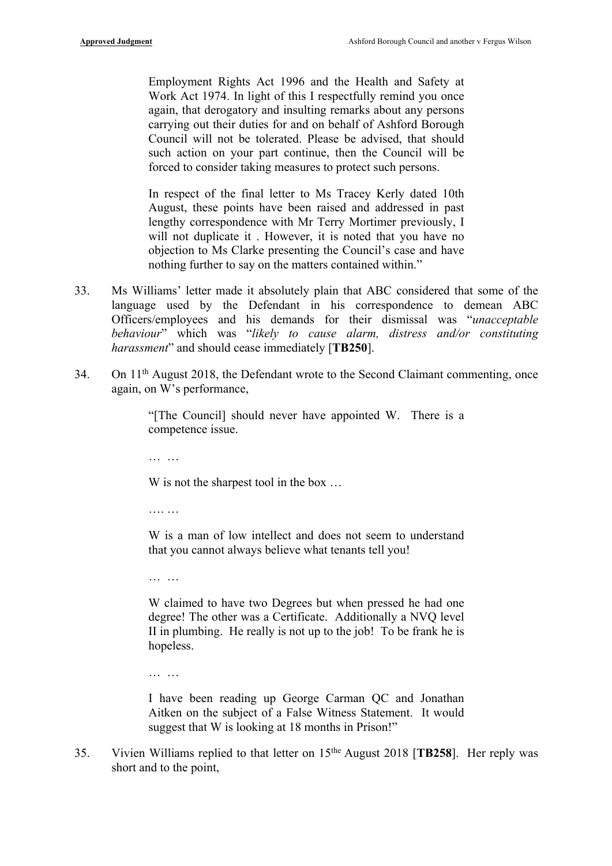Employment Rights Act 1996 and the Health and Safety at Work Act 1974. In light of this I respectfully remind you once again, that derogatory and insulting remarks about any persons carrying out their duties for and on behalf of Ashford Borough Council will not be tolerated. Please be advised, that should such action on your part continue, then the Council will be forced to consider taking measures to protect such persons.

In respect of the final letter to Ms Tracey Kerly dated 10th August, these points have been raised and addressed in past lengthy correspondence with Mr Terry Mortimer previously, I will not duplicate it . However, it is noted that you have no objection to Ms Clarke presenting the Council's case and have nothing further to say on the matters contained within."

- 33. Ms Williams' letter made it absolutely plain that ABC considered that some of the language used by the Defendant in his correspondence to demean ABC Officers/employees and his demands for their dismissal was "*unacceptable behaviour*" which was "*likely to cause alarm, distress and/or constituting harassment*" and should cease immediately [**TB250**].
- 34. On 11<sup>th</sup> August 2018, the Defendant wrote to the Second Claimant commenting, once again, on W's performance,

"[The Council] should never have appointed W. There is a competence issue.

… …

W is not the sharpest tool in the box ...

………

W is a man of low intellect and does not seem to understand that you cannot always believe what tenants tell you!

… …

W claimed to have two Degrees but when pressed he had one degree! The other was a Certificate. Additionally a NVQ level II in plumbing. He really is not up to the job! To be frank he is hopeless.

… …

I have been reading up George Carman QC and Jonathan Aitken on the subject of a False Witness Statement. It would suggest that W is looking at 18 months in Prison!"

35. Vivien Williams replied to that letter on 15the August 2018 [**TB258**]. Her reply was short and to the point,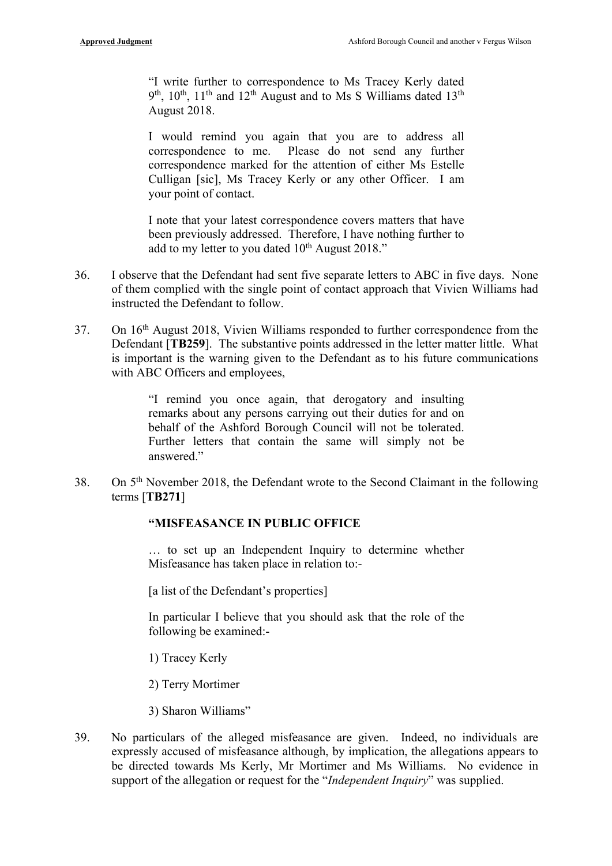"I write further to correspondence to Ms Tracey Kerly dated 9<sup>th</sup>, 10<sup>th</sup>, 11<sup>th</sup> and 12<sup>th</sup> August and to Ms S Williams dated 13<sup>th</sup> August 2018.

I would remind you again that you are to address all correspondence to me. Please do not send any further correspondence marked for the attention of either Ms Estelle Culligan [sic], Ms Tracey Kerly or any other Officer. I am your point of contact.

I note that your latest correspondence covers matters that have been previously addressed. Therefore, I have nothing further to add to my letter to you dated  $10^{th}$  August 2018."

- 36. I observe that the Defendant had sent five separate letters to ABC in five days. None of them complied with the single point of contact approach that Vivien Williams had instructed the Defendant to follow.
- 37. On 16th August 2018, Vivien Williams responded to further correspondence from the Defendant [**TB259**]. The substantive points addressed in the letter matter little. What is important is the warning given to the Defendant as to his future communications with ABC Officers and employees,

"I remind you once again, that derogatory and insulting remarks about any persons carrying out their duties for and on behalf of the Ashford Borough Council will not be tolerated. Further letters that contain the same will simply not be answered."

38. On 5th November 2018, the Defendant wrote to the Second Claimant in the following terms [**TB271**]

### **"MISFEASANCE IN PUBLIC OFFICE**

… to set up an Independent Inquiry to determine whether Misfeasance has taken place in relation to:-

[a list of the Defendant's properties]

In particular I believe that you should ask that the role of the following be examined:-

- 1) Tracey Kerly
- 2) Terry Mortimer
- 3) Sharon Williams"
- 39. No particulars of the alleged misfeasance are given. Indeed, no individuals are expressly accused of misfeasance although, by implication, the allegations appears to be directed towards Ms Kerly, Mr Mortimer and Ms Williams. No evidence in support of the allegation or request for the "*Independent Inquiry*" was supplied.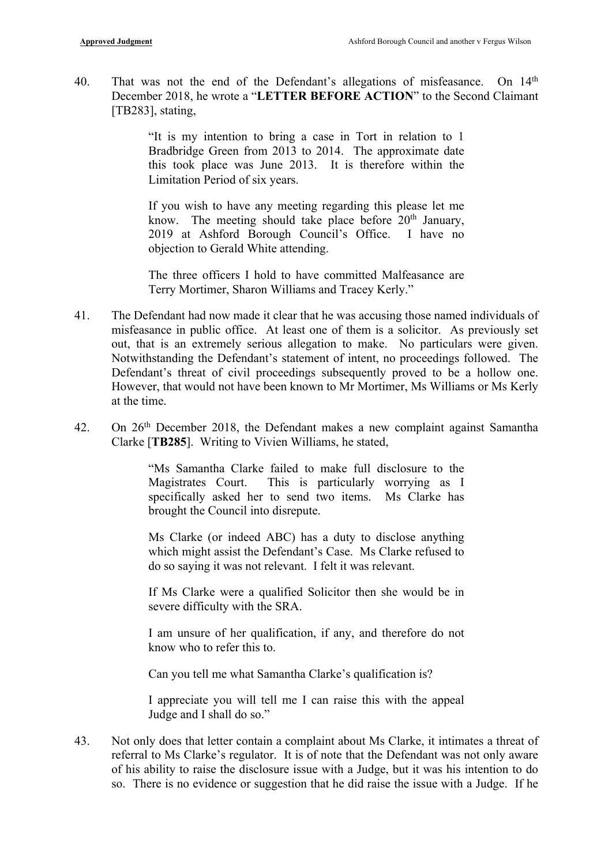40. That was not the end of the Defendant's allegations of misfeasance. On 14<sup>th</sup> December 2018, he wrote a "**LETTER BEFORE ACTION**" to the Second Claimant [TB283], stating,

> "It is my intention to bring a case in Tort in relation to 1 Bradbridge Green from 2013 to 2014. The approximate date this took place was June 2013. It is therefore within the Limitation Period of six years.

> If you wish to have any meeting regarding this please let me know. The meeting should take place before  $20<sup>th</sup>$  January, 2019 at Ashford Borough Council's Office. I have no objection to Gerald White attending.

> The three officers I hold to have committed Malfeasance are Terry Mortimer, Sharon Williams and Tracey Kerly."

- 41. The Defendant had now made it clear that he was accusing those named individuals of misfeasance in public office. At least one of them is a solicitor. As previously set out, that is an extremely serious allegation to make. No particulars were given. Notwithstanding the Defendant's statement of intent, no proceedings followed. The Defendant's threat of civil proceedings subsequently proved to be a hollow one. However, that would not have been known to Mr Mortimer, Ms Williams or Ms Kerly at the time.
- 42. On 26th December 2018, the Defendant makes a new complaint against Samantha Clarke [**TB285**]. Writing to Vivien Williams, he stated,

"Ms Samantha Clarke failed to make full disclosure to the Magistrates Court. This is particularly worrying as I specifically asked her to send two items. Ms Clarke has brought the Council into disrepute.

Ms Clarke (or indeed ABC) has a duty to disclose anything which might assist the Defendant's Case. Ms Clarke refused to do so saying it was not relevant. I felt it was relevant.

If Ms Clarke were a qualified Solicitor then she would be in severe difficulty with the SRA.

I am unsure of her qualification, if any, and therefore do not know who to refer this to.

Can you tell me what Samantha Clarke's qualification is?

I appreciate you will tell me I can raise this with the appeal Judge and I shall do so."

43. Not only does that letter contain a complaint about Ms Clarke, it intimates a threat of referral to Ms Clarke's regulator. It is of note that the Defendant was not only aware of his ability to raise the disclosure issue with a Judge, but it was his intention to do so. There is no evidence or suggestion that he did raise the issue with a Judge. If he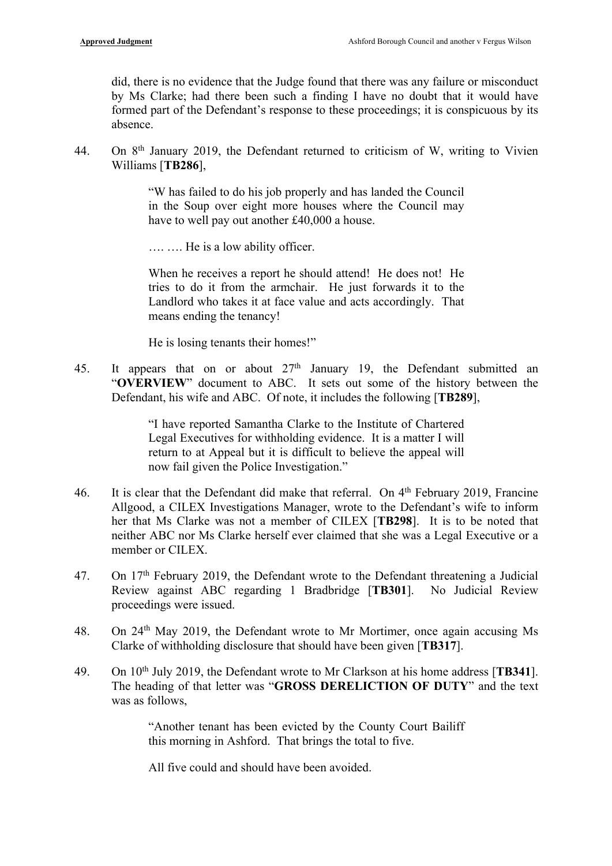did, there is no evidence that the Judge found that there was any failure or misconduct by Ms Clarke; had there been such a finding I have no doubt that it would have formed part of the Defendant's response to these proceedings; it is conspicuous by its absence.

44. On 8<sup>th</sup> January 2019, the Defendant returned to criticism of W, writing to Vivien Williams [**TB286**],

> "W has failed to do his job properly and has landed the Council in the Soup over eight more houses where the Council may have to well pay out another £40,000 a house.

…. …. He is a low ability officer.

When he receives a report he should attend! He does not! He tries to do it from the armchair. He just forwards it to the Landlord who takes it at face value and acts accordingly. That means ending the tenancy!

He is losing tenants their homes!"

45. It appears that on or about  $27<sup>th</sup>$  January 19, the Defendant submitted an "**OVERVIEW**" document to ABC. It sets out some of the history between the Defendant, his wife and ABC. Of note, it includes the following [**TB289**],

> "I have reported Samantha Clarke to the Institute of Chartered Legal Executives for withholding evidence. It is a matter I will return to at Appeal but it is difficult to believe the appeal will now fail given the Police Investigation."

- 46. It is clear that the Defendant did make that referral. On 4<sup>th</sup> February 2019, Francine Allgood, a CILEX Investigations Manager, wrote to the Defendant's wife to inform her that Ms Clarke was not a member of CILEX [**TB298**]. It is to be noted that neither ABC nor Ms Clarke herself ever claimed that she was a Legal Executive or a member or CILEX.
- 47. On 17th February 2019, the Defendant wrote to the Defendant threatening a Judicial Review against ABC regarding 1 Bradbridge [**TB301**]. No Judicial Review proceedings were issued.
- 48. On 24th May 2019, the Defendant wrote to Mr Mortimer, once again accusing Ms Clarke of withholding disclosure that should have been given [**TB317**].
- 49. On 10th July 2019, the Defendant wrote to Mr Clarkson at his home address [**TB341**]. The heading of that letter was "**GROSS DERELICTION OF DUTY**" and the text was as follows,

"Another tenant has been evicted by the County Court Bailiff this morning in Ashford. That brings the total to five.

All five could and should have been avoided.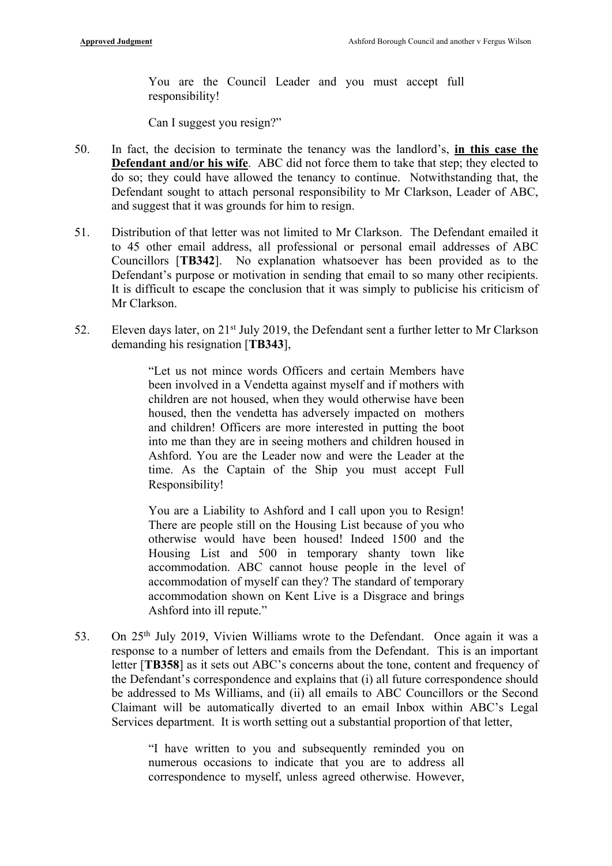You are the Council Leader and you must accept full responsibility!

Can I suggest you resign?"

- 50. In fact, the decision to terminate the tenancy was the landlord's, **in this case the Defendant and/or his wife**. ABC did not force them to take that step; they elected to do so; they could have allowed the tenancy to continue. Notwithstanding that, the Defendant sought to attach personal responsibility to Mr Clarkson, Leader of ABC, and suggest that it was grounds for him to resign.
- 51. Distribution of that letter was not limited to Mr Clarkson. The Defendant emailed it to 45 other email address, all professional or personal email addresses of ABC Councillors [**TB342**]. No explanation whatsoever has been provided as to the Defendant's purpose or motivation in sending that email to so many other recipients. It is difficult to escape the conclusion that it was simply to publicise his criticism of Mr Clarkson.
- 52. Eleven days later, on 21<sup>st</sup> July 2019, the Defendant sent a further letter to Mr Clarkson demanding his resignation [**TB343**],

"Let us not mince words Officers and certain Members have been involved in a Vendetta against myself and if mothers with children are not housed, when they would otherwise have been housed, then the vendetta has adversely impacted on mothers and children! Officers are more interested in putting the boot into me than they are in seeing mothers and children housed in Ashford. You are the Leader now and were the Leader at the time. As the Captain of the Ship you must accept Full Responsibility!

You are a Liability to Ashford and I call upon you to Resign! There are people still on the Housing List because of you who otherwise would have been housed! Indeed 1500 and the Housing List and 500 in temporary shanty town like accommodation. ABC cannot house people in the level of accommodation of myself can they? The standard of temporary accommodation shown on Kent Live is a Disgrace and brings Ashford into ill repute."

53. On 25th July 2019, Vivien Williams wrote to the Defendant. Once again it was a response to a number of letters and emails from the Defendant. This is an important letter [**TB358**] as it sets out ABC's concerns about the tone, content and frequency of the Defendant's correspondence and explains that (i) all future correspondence should be addressed to Ms Williams, and (ii) all emails to ABC Councillors or the Second Claimant will be automatically diverted to an email Inbox within ABC's Legal Services department. It is worth setting out a substantial proportion of that letter,

> "I have written to you and subsequently reminded you on numerous occasions to indicate that you are to address all correspondence to myself, unless agreed otherwise. However,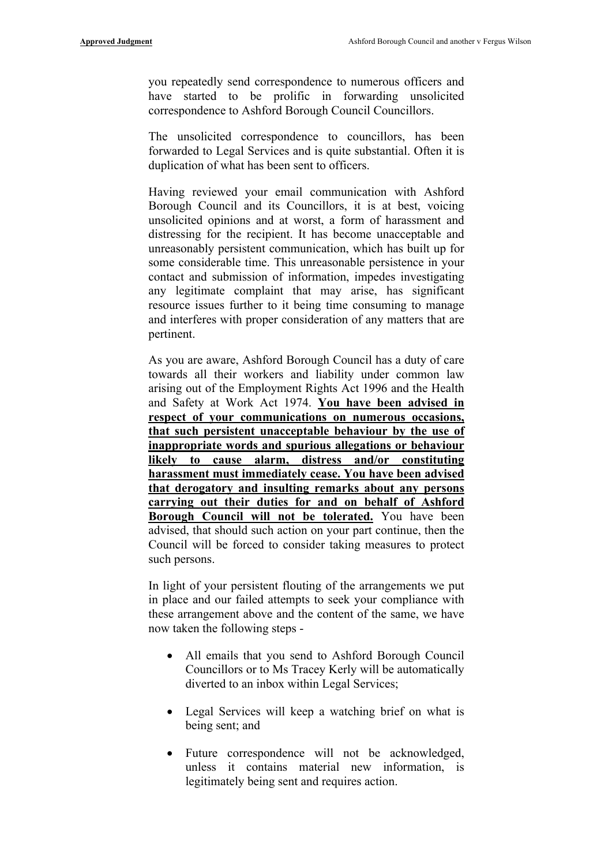you repeatedly send correspondence to numerous officers and have started to be prolific in forwarding unsolicited correspondence to Ashford Borough Council Councillors.

The unsolicited correspondence to councillors, has been forwarded to Legal Services and is quite substantial. Often it is duplication of what has been sent to officers.

Having reviewed your email communication with Ashford Borough Council and its Councillors, it is at best, voicing unsolicited opinions and at worst, a form of harassment and distressing for the recipient. It has become unacceptable and unreasonably persistent communication, which has built up for some considerable time. This unreasonable persistence in your contact and submission of information, impedes investigating any legitimate complaint that may arise, has significant resource issues further to it being time consuming to manage and interferes with proper consideration of any matters that are pertinent.

As you are aware, Ashford Borough Council has a duty of care towards all their workers and liability under common law arising out of the Employment Rights Act 1996 and the Health and Safety at Work Act 1974. **You have been advised in respect of your communications on numerous occasions, that such persistent unacceptable behaviour by the use of inappropriate words and spurious allegations or behaviour likely to cause alarm, distress and/or constituting harassment must immediately cease. You have been advised that derogatory and insulting remarks about any persons carrying out their duties for and on behalf of Ashford Borough Council will not be tolerated.** You have been advised, that should such action on your part continue, then the Council will be forced to consider taking measures to protect such persons.

In light of your persistent flouting of the arrangements we put in place and our failed attempts to seek your compliance with these arrangement above and the content of the same, we have now taken the following steps -

- All emails that you send to Ashford Borough Council Councillors or to Ms Tracey Kerly will be automatically diverted to an inbox within Legal Services;
- Legal Services will keep a watching brief on what is being sent; and
- Future correspondence will not be acknowledged, unless it contains material new information, is legitimately being sent and requires action.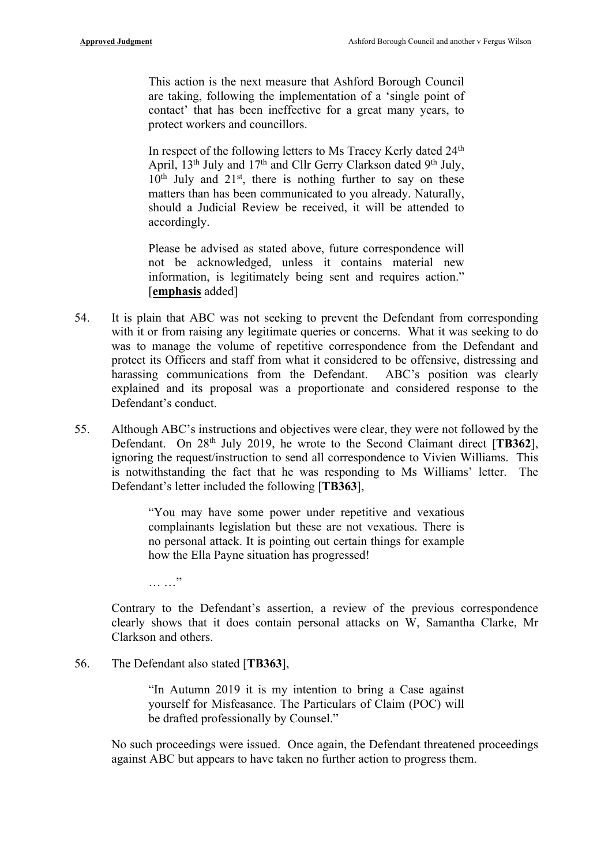This action is the next measure that Ashford Borough Council are taking, following the implementation of a 'single point of contact' that has been ineffective for a great many years, to protect workers and councillors.

In respect of the following letters to Ms Tracey Kerly dated 24<sup>th</sup> April, 13<sup>th</sup> July and 17<sup>th</sup> and Cllr Gerry Clarkson dated 9<sup>th</sup> July,  $10<sup>th</sup>$  July and  $21<sup>st</sup>$ , there is nothing further to say on these matters than has been communicated to you already. Naturally, should a Judicial Review be received, it will be attended to accordingly.

Please be advised as stated above, future correspondence will not be acknowledged, unless it contains material new information, is legitimately being sent and requires action." [**emphasis** added]

- 54. It is plain that ABC was not seeking to prevent the Defendant from corresponding with it or from raising any legitimate queries or concerns. What it was seeking to do was to manage the volume of repetitive correspondence from the Defendant and protect its Officers and staff from what it considered to be offensive, distressing and harassing communications from the Defendant. ABC's position was clearly explained and its proposal was a proportionate and considered response to the Defendant's conduct.
- 55. Although ABC's instructions and objectives were clear, they were not followed by the Defendant. On 28<sup>th</sup> July 2019, he wrote to the Second Claimant direct [TB362], ignoring the request/instruction to send all correspondence to Vivien Williams. This is notwithstanding the fact that he was responding to Ms Williams' letter. The Defendant's letter included the following [**TB363**],

"You may have some power under repetitive and vexatious complainants legislation but these are not vexatious. There is no personal attack. It is pointing out certain things for example how the Ella Payne situation has progressed!

… …

Contrary to the Defendant's assertion, a review of the previous correspondence clearly shows that it does contain personal attacks on W, Samantha Clarke, Mr Clarkson and others.

### 56. The Defendant also stated [**TB363**],

"In Autumn 2019 it is my intention to bring a Case against yourself for Misfeasance. The Particulars of Claim (POC) will be drafted professionally by Counsel."

No such proceedings were issued. Once again, the Defendant threatened proceedings against ABC but appears to have taken no further action to progress them.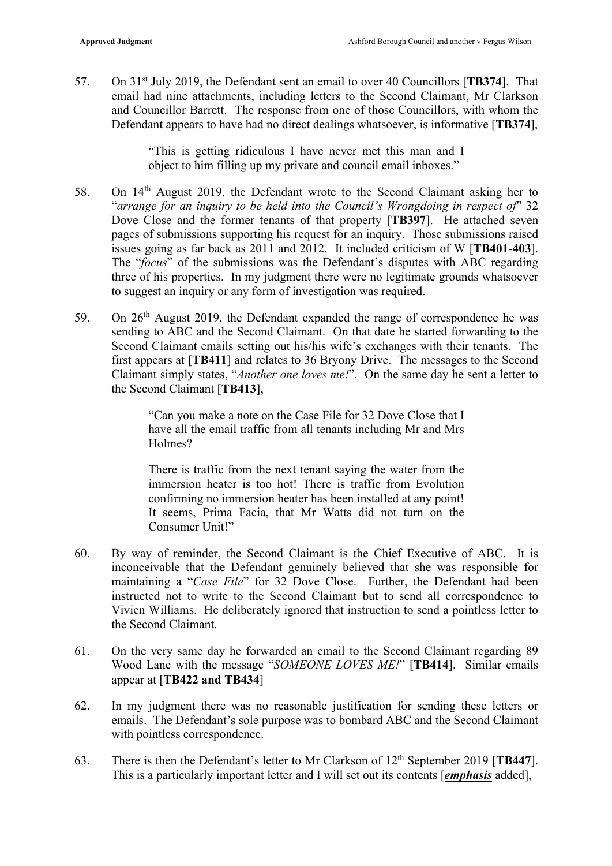57. On 31st July 2019, the Defendant sent an email to over 40 Councillors [**TB374**]. That email had nine attachments, including letters to the Second Claimant, Mr Clarkson and Councillor Barrett. The response from one of those Councillors, with whom the Defendant appears to have had no direct dealings whatsoever, is informative [**TB374**],

> "This is getting ridiculous I have never met this man and I object to him filling up my private and council email inboxes."

- 58. On 14th August 2019, the Defendant wrote to the Second Claimant asking her to "*arrange for an inquiry to be held into the Council's Wrongdoing in respect of*" 32 Dove Close and the former tenants of that property [**TB397**]. He attached seven pages of submissions supporting his request for an inquiry. Those submissions raised issues going as far back as 2011 and 2012. It included criticism of W [**TB401-403**]. The "*focus*" of the submissions was the Defendant's disputes with ABC regarding three of his properties. In my judgment there were no legitimate grounds whatsoever to suggest an inquiry or any form of investigation was required.
- 59. On 26<sup>th</sup> August 2019, the Defendant expanded the range of correspondence he was sending to ABC and the Second Claimant. On that date he started forwarding to the Second Claimant emails setting out his/his wife's exchanges with their tenants. The first appears at [**TB411**] and relates to 36 Bryony Drive. The messages to the Second Claimant simply states, "*Another one loves me!*". On the same day he sent a letter to the Second Claimant [**TB413**],

"Can you make a note on the Case File for 32 Dove Close that I have all the email traffic from all tenants including Mr and Mrs Holmes?

There is traffic from the next tenant saying the water from the immersion heater is too hot! There is traffic from Evolution confirming no immersion heater has been installed at any point! It seems, Prima Facia, that Mr Watts did not turn on the Consumer Unit!"

- 60. By way of reminder, the Second Claimant is the Chief Executive of ABC. It is inconceivable that the Defendant genuinely believed that she was responsible for maintaining a "*Case File*" for 32 Dove Close. Further, the Defendant had been instructed not to write to the Second Claimant but to send all correspondence to Vivien Williams. He deliberately ignored that instruction to send a pointless letter to the Second Claimant.
- 61. On the very same day he forwarded an email to the Second Claimant regarding 89 Wood Lane with the message "*SOMEONE LOVES ME!*" [**TB414**]. Similar emails appear at [**TB422 and TB434**]
- 62. In my judgment there was no reasonable justification for sending these letters or emails. The Defendant's sole purpose was to bombard ABC and the Second Claimant with pointless correspondence.
- 63. There is then the Defendant's letter to Mr Clarkson of 12th September 2019 [**TB447**]. This is a particularly important letter and I will set out its contents [*emphasis* added],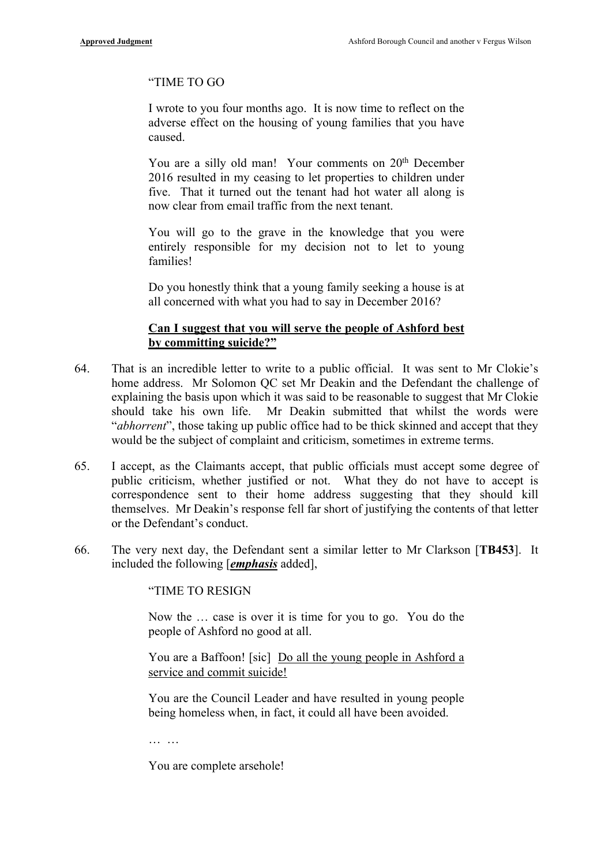# "TIME TO GO

I wrote to you four months ago. It is now time to reflect on the adverse effect on the housing of young families that you have caused.

You are a silly old man! Your comments on 20<sup>th</sup> December 2016 resulted in my ceasing to let properties to children under five. That it turned out the tenant had hot water all along is now clear from email traffic from the next tenant.

You will go to the grave in the knowledge that you were entirely responsible for my decision not to let to young families!

Do you honestly think that a young family seeking a house is at all concerned with what you had to say in December 2016?

### **Can I suggest that you will serve the people of Ashford best by committing suicide?"**

- 64. That is an incredible letter to write to a public official. It was sent to Mr Clokie's home address. Mr Solomon QC set Mr Deakin and the Defendant the challenge of explaining the basis upon which it was said to be reasonable to suggest that Mr Clokie should take his own life. Mr Deakin submitted that whilst the words were "*abhorrent*", those taking up public office had to be thick skinned and accept that they would be the subject of complaint and criticism, sometimes in extreme terms.
- 65. I accept, as the Claimants accept, that public officials must accept some degree of public criticism, whether justified or not. What they do not have to accept is correspondence sent to their home address suggesting that they should kill themselves. Mr Deakin's response fell far short of justifying the contents of that letter or the Defendant's conduct.
- 66. The very next day, the Defendant sent a similar letter to Mr Clarkson [**TB453**]. It included the following [*emphasis* added],

"TIME TO RESIGN

Now the … case is over it is time for you to go. You do the people of Ashford no good at all.

You are a Baffoon! [sic] Do all the young people in Ashford a service and commit suicide!

You are the Council Leader and have resulted in young people being homeless when, in fact, it could all have been avoided.

… …

You are complete arsehole!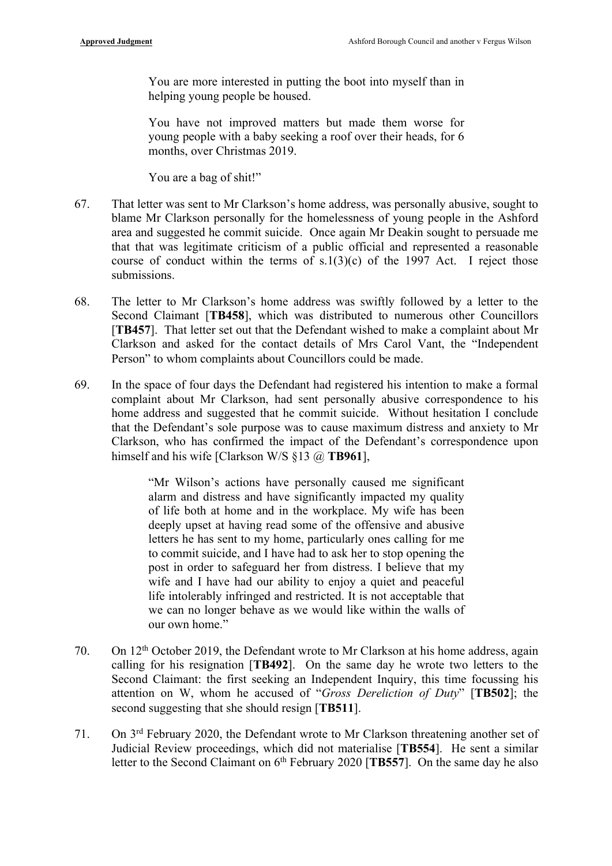You are more interested in putting the boot into myself than in helping young people be housed.

You have not improved matters but made them worse for young people with a baby seeking a roof over their heads, for 6 months, over Christmas 2019.

You are a bag of shit!"

- 67. That letter was sent to Mr Clarkson's home address, was personally abusive, sought to blame Mr Clarkson personally for the homelessness of young people in the Ashford area and suggested he commit suicide. Once again Mr Deakin sought to persuade me that that was legitimate criticism of a public official and represented a reasonable course of conduct within the terms of  $s.1(3)(c)$  of the 1997 Act. I reject those submissions.
- 68. The letter to Mr Clarkson's home address was swiftly followed by a letter to the Second Claimant [**TB458**], which was distributed to numerous other Councillors [**TB457**]. That letter set out that the Defendant wished to make a complaint about Mr Clarkson and asked for the contact details of Mrs Carol Vant, the "Independent Person" to whom complaints about Councillors could be made.
- 69. In the space of four days the Defendant had registered his intention to make a formal complaint about Mr Clarkson, had sent personally abusive correspondence to his home address and suggested that he commit suicide. Without hesitation I conclude that the Defendant's sole purpose was to cause maximum distress and anxiety to Mr Clarkson, who has confirmed the impact of the Defendant's correspondence upon himself and his wife [Clarkson W/S §13 @ **TB961**],

"Mr Wilson's actions have personally caused me significant alarm and distress and have significantly impacted my quality of life both at home and in the workplace. My wife has been deeply upset at having read some of the offensive and abusive letters he has sent to my home, particularly ones calling for me to commit suicide, and I have had to ask her to stop opening the post in order to safeguard her from distress. I believe that my wife and I have had our ability to enjoy a quiet and peaceful life intolerably infringed and restricted. It is not acceptable that we can no longer behave as we would like within the walls of our own home."

- 70. On  $12<sup>th</sup>$  October 2019, the Defendant wrote to Mr Clarkson at his home address, again calling for his resignation [**TB492**]. On the same day he wrote two letters to the Second Claimant: the first seeking an Independent Inquiry, this time focussing his attention on W, whom he accused of "*Gross Dereliction of Duty*" [**TB502**]; the second suggesting that she should resign [**TB511**].
- 71. On 3rd February 2020, the Defendant wrote to Mr Clarkson threatening another set of Judicial Review proceedings, which did not materialise [**TB554**]. He sent a similar letter to the Second Claimant on 6<sup>th</sup> February 2020 [**TB557**]. On the same day he also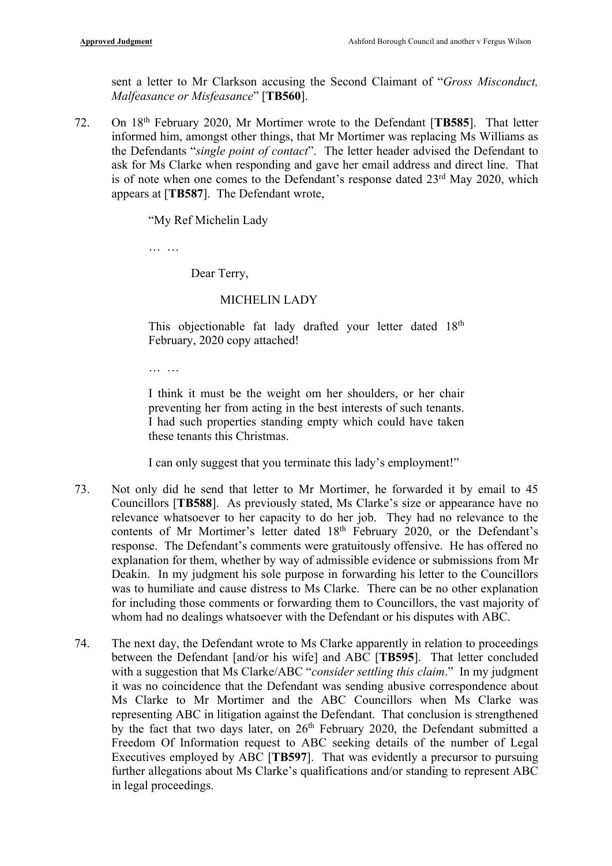sent a letter to Mr Clarkson accusing the Second Claimant of "*Gross Misconduct, Malfeasance or Misfeasance*" [**TB560**].

72. On 18th February 2020, Mr Mortimer wrote to the Defendant [**TB585**]. That letter informed him, amongst other things, that Mr Mortimer was replacing Ms Williams as the Defendants "*single point of contact*". The letter header advised the Defendant to ask for Ms Clarke when responding and gave her email address and direct line. That is of note when one comes to the Defendant's response dated  $23<sup>rd</sup>$  May 2020, which appears at [**TB587**]. The Defendant wrote,

"My Ref Michelin Lady

… …

Dear Terry,

# MICHELIN LADY

This objectionable fat lady drafted your letter dated 18<sup>th</sup> February, 2020 copy attached!

… …

I think it must be the weight om her shoulders, or her chair preventing her from acting in the best interests of such tenants. I had such properties standing empty which could have taken these tenants this Christmas.

I can only suggest that you terminate this lady's employment!"

- 73. Not only did he send that letter to Mr Mortimer, he forwarded it by email to 45 Councillors [**TB588**]. As previously stated, Ms Clarke's size or appearance have no relevance whatsoever to her capacity to do her job. They had no relevance to the contents of Mr Mortimer's letter dated 18<sup>th</sup> February 2020, or the Defendant's response. The Defendant's comments were gratuitously offensive. He has offered no explanation for them, whether by way of admissible evidence or submissions from Mr Deakin. In my judgment his sole purpose in forwarding his letter to the Councillors was to humiliate and cause distress to Ms Clarke. There can be no other explanation for including those comments or forwarding them to Councillors, the vast majority of whom had no dealings whatsoever with the Defendant or his disputes with ABC.
- 74. The next day, the Defendant wrote to Ms Clarke apparently in relation to proceedings between the Defendant [and/or his wife] and ABC [**TB595**]. That letter concluded with a suggestion that Ms Clarke/ABC "*consider settling this claim*." In my judgment it was no coincidence that the Defendant was sending abusive correspondence about Ms Clarke to Mr Mortimer and the ABC Councillors when Ms Clarke was representing ABC in litigation against the Defendant. That conclusion is strengthened by the fact that two days later, on 26<sup>th</sup> February 2020, the Defendant submitted a Freedom Of Information request to ABC seeking details of the number of Legal Executives employed by ABC [**TB597**]. That was evidently a precursor to pursuing further allegations about Ms Clarke's qualifications and/or standing to represent ABC in legal proceedings.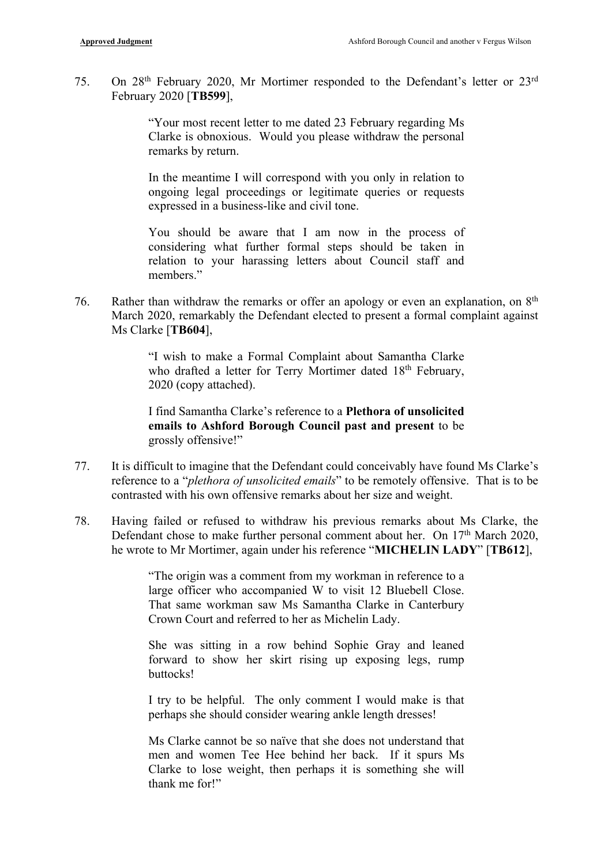75. On 28th February 2020, Mr Mortimer responded to the Defendant's letter or 23rd February 2020 [**TB599**],

> "Your most recent letter to me dated 23 February regarding Ms Clarke is obnoxious. Would you please withdraw the personal remarks by return.

> In the meantime I will correspond with you only in relation to ongoing legal proceedings or legitimate queries or requests expressed in a business-like and civil tone.

> You should be aware that I am now in the process of considering what further formal steps should be taken in relation to your harassing letters about Council staff and members."

76. Rather than withdraw the remarks or offer an apology or even an explanation, on  $8<sup>th</sup>$ March 2020, remarkably the Defendant elected to present a formal complaint against Ms Clarke [**TB604**],

> "I wish to make a Formal Complaint about Samantha Clarke who drafted a letter for Terry Mortimer dated 18<sup>th</sup> February, 2020 (copy attached).

> I find Samantha Clarke's reference to a **Plethora of unsolicited emails to Ashford Borough Council past and present** to be grossly offensive!"

- 77. It is difficult to imagine that the Defendant could conceivably have found Ms Clarke's reference to a "*plethora of unsolicited emails*" to be remotely offensive. That is to be contrasted with his own offensive remarks about her size and weight.
- 78. Having failed or refused to withdraw his previous remarks about Ms Clarke, the Defendant chose to make further personal comment about her. On 17<sup>th</sup> March 2020, he wrote to Mr Mortimer, again under his reference "**MICHELIN LADY**" [**TB612**],

"The origin was a comment from my workman in reference to a large officer who accompanied W to visit 12 Bluebell Close. That same workman saw Ms Samantha Clarke in Canterbury Crown Court and referred to her as Michelin Lady.

She was sitting in a row behind Sophie Gray and leaned forward to show her skirt rising up exposing legs, rump buttocks!

I try to be helpful. The only comment I would make is that perhaps she should consider wearing ankle length dresses!

Ms Clarke cannot be so naïve that she does not understand that men and women Tee Hee behind her back. If it spurs Ms Clarke to lose weight, then perhaps it is something she will thank me for!"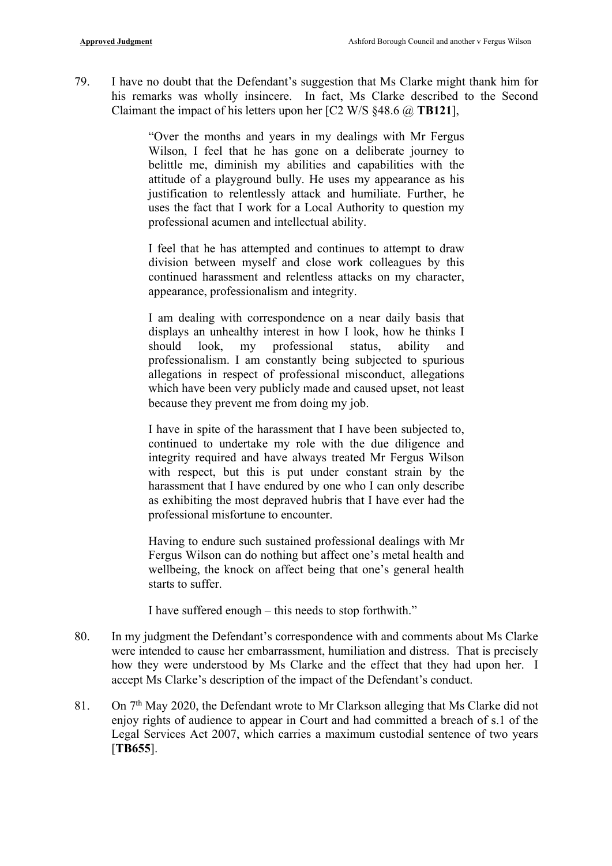79. I have no doubt that the Defendant's suggestion that Ms Clarke might thank him for his remarks was wholly insincere. In fact, Ms Clarke described to the Second Claimant the impact of his letters upon her [C2 W/S §48.6 @ **TB121**],

> "Over the months and years in my dealings with Mr Fergus Wilson, I feel that he has gone on a deliberate journey to belittle me, diminish my abilities and capabilities with the attitude of a playground bully. He uses my appearance as his justification to relentlessly attack and humiliate. Further, he uses the fact that I work for a Local Authority to question my professional acumen and intellectual ability.

> I feel that he has attempted and continues to attempt to draw division between myself and close work colleagues by this continued harassment and relentless attacks on my character, appearance, professionalism and integrity.

> I am dealing with correspondence on a near daily basis that displays an unhealthy interest in how I look, how he thinks I should look, my professional status, ability and professionalism. I am constantly being subjected to spurious allegations in respect of professional misconduct, allegations which have been very publicly made and caused upset, not least because they prevent me from doing my job.

> I have in spite of the harassment that I have been subjected to, continued to undertake my role with the due diligence and integrity required and have always treated Mr Fergus Wilson with respect, but this is put under constant strain by the harassment that I have endured by one who I can only describe as exhibiting the most depraved hubris that I have ever had the professional misfortune to encounter.

> Having to endure such sustained professional dealings with Mr Fergus Wilson can do nothing but affect one's metal health and wellbeing, the knock on affect being that one's general health starts to suffer.

I have suffered enough – this needs to stop forthwith."

- 80. In my judgment the Defendant's correspondence with and comments about Ms Clarke were intended to cause her embarrassment, humiliation and distress. That is precisely how they were understood by Ms Clarke and the effect that they had upon her. I accept Ms Clarke's description of the impact of the Defendant's conduct.
- 81. On 7<sup>th</sup> May 2020, the Defendant wrote to Mr Clarkson alleging that Ms Clarke did not enjoy rights of audience to appear in Court and had committed a breach of s.1 of the Legal Services Act 2007, which carries a maximum custodial sentence of two years [**TB655**].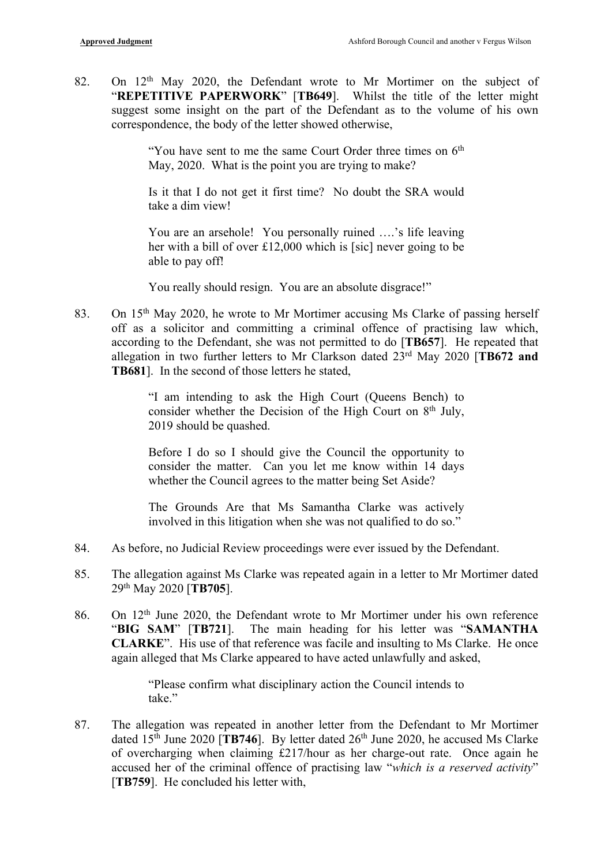82. On 12<sup>th</sup> May 2020, the Defendant wrote to Mr Mortimer on the subject of "**REPETITIVE PAPERWORK**" [**TB649**]. Whilst the title of the letter might suggest some insight on the part of the Defendant as to the volume of his own correspondence, the body of the letter showed otherwise,

> "You have sent to me the same Court Order three times on  $6<sup>th</sup>$ May, 2020. What is the point you are trying to make?

> Is it that I do not get it first time? No doubt the SRA would take a dim view!

> You are an arsehole! You personally ruined ….'s life leaving her with a bill of over £12,000 which is [sic] never going to be able to pay off!

You really should resign. You are an absolute disgrace!"

83. On 15<sup>th</sup> May 2020, he wrote to Mr Mortimer accusing Ms Clarke of passing herself off as a solicitor and committing a criminal offence of practising law which, according to the Defendant, she was not permitted to do [**TB657**]. He repeated that allegation in two further letters to Mr Clarkson dated 23rd May 2020 [**TB672 and TB681**]. In the second of those letters he stated,

> "I am intending to ask the High Court (Queens Bench) to consider whether the Decision of the High Court on 8<sup>th</sup> July, 2019 should be quashed.

> Before I do so I should give the Council the opportunity to consider the matter. Can you let me know within 14 days whether the Council agrees to the matter being Set Aside?

> The Grounds Are that Ms Samantha Clarke was actively involved in this litigation when she was not qualified to do so."

- 84. As before, no Judicial Review proceedings were ever issued by the Defendant.
- 85. The allegation against Ms Clarke was repeated again in a letter to Mr Mortimer dated 29th May 2020 [**TB705**].
- 86. On 12<sup>th</sup> June 2020, the Defendant wrote to Mr Mortimer under his own reference "**BIG SAM**" [**TB721**]. The main heading for his letter was "**SAMANTHA CLARKE**". His use of that reference was facile and insulting to Ms Clarke. He once again alleged that Ms Clarke appeared to have acted unlawfully and asked,

"Please confirm what disciplinary action the Council intends to take."

87. The allegation was repeated in another letter from the Defendant to Mr Mortimer dated 15<sup>th</sup> June 2020 [TB746]. By letter dated 26<sup>th</sup> June 2020, he accused Ms Clarke of overcharging when claiming £217/hour as her charge-out rate. Once again he accused her of the criminal offence of practising law "*which is a reserved activity*" [**TB759**]. He concluded his letter with,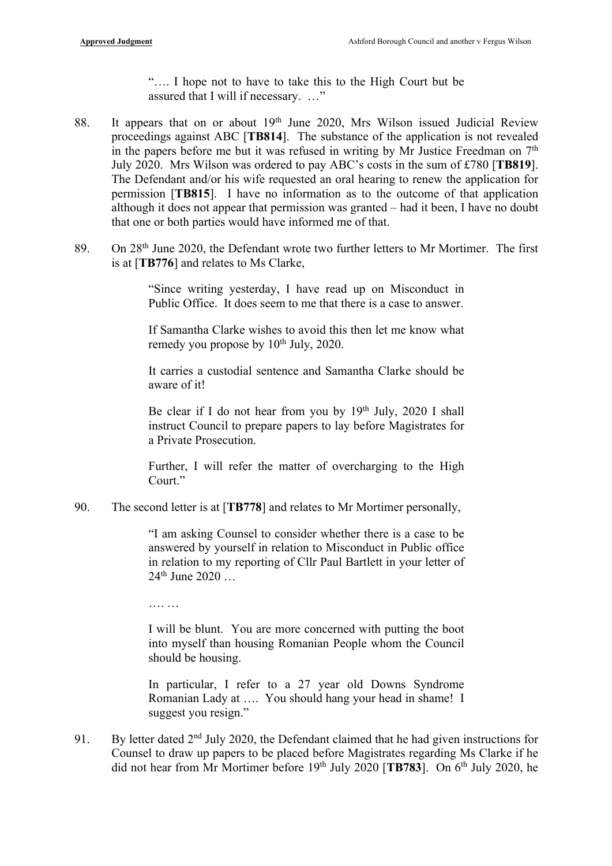"…. I hope not to have to take this to the High Court but be assured that I will if necessary. …"

- 88. It appears that on or about 19<sup>th</sup> June 2020, Mrs Wilson issued Judicial Review proceedings against ABC [**TB814**]. The substance of the application is not revealed in the papers before me but it was refused in writing by Mr Justice Freedman on  $7<sup>th</sup>$ July 2020. Mrs Wilson was ordered to pay ABC's costs in the sum of £780 [**TB819**]. The Defendant and/or his wife requested an oral hearing to renew the application for permission [**TB815**]. I have no information as to the outcome of that application although it does not appear that permission was granted – had it been, I have no doubt that one or both parties would have informed me of that.
- 89. On 28<sup>th</sup> June 2020, the Defendant wrote two further letters to Mr Mortimer. The first is at [**TB776**] and relates to Ms Clarke,

"Since writing yesterday, I have read up on Misconduct in Public Office. It does seem to me that there is a case to answer.

If Samantha Clarke wishes to avoid this then let me know what remedy you propose by  $10<sup>th</sup>$  July, 2020.

It carries a custodial sentence and Samantha Clarke should be aware of it!

Be clear if I do not hear from you by  $19<sup>th</sup>$  July, 2020 I shall instruct Council to prepare papers to lay before Magistrates for a Private Prosecution.

Further, I will refer the matter of overcharging to the High Court."

90. The second letter is at [**TB778**] and relates to Mr Mortimer personally,

"I am asking Counsel to consider whether there is a case to be answered by yourself in relation to Misconduct in Public office in relation to my reporting of Cllr Paul Bartlett in your letter of 24th June 2020 …

………

I will be blunt. You are more concerned with putting the boot into myself than housing Romanian People whom the Council should be housing.

In particular, I refer to a 27 year old Downs Syndrome Romanian Lady at …. You should hang your head in shame! I suggest you resign."

91. By letter dated 2<sup>nd</sup> July 2020, the Defendant claimed that he had given instructions for Counsel to draw up papers to be placed before Magistrates regarding Ms Clarke if he did not hear from Mr Mortimer before 19th July 2020 [**TB783**]. On 6th July 2020, he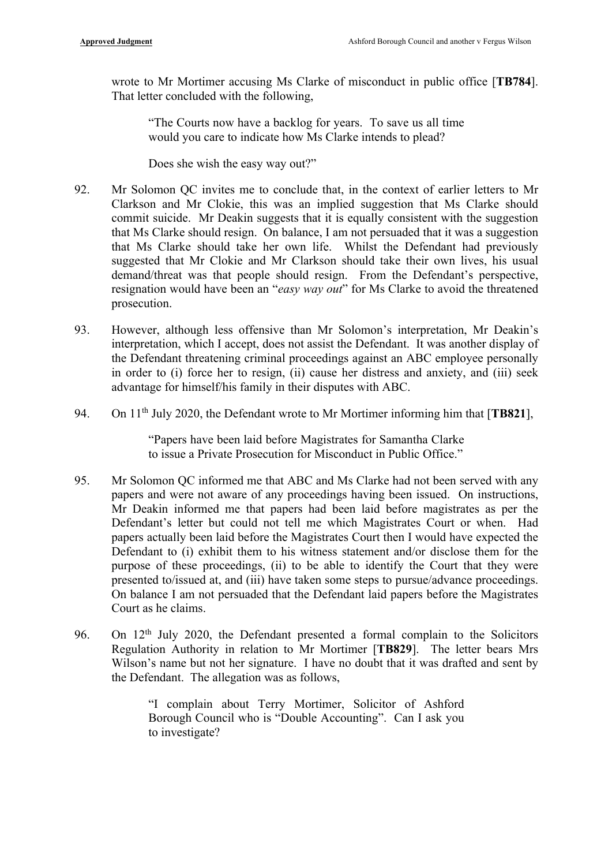wrote to Mr Mortimer accusing Ms Clarke of misconduct in public office [**TB784**]. That letter concluded with the following,

"The Courts now have a backlog for years. To save us all time would you care to indicate how Ms Clarke intends to plead?

Does she wish the easy way out?"

- 92. Mr Solomon QC invites me to conclude that, in the context of earlier letters to Mr Clarkson and Mr Clokie, this was an implied suggestion that Ms Clarke should commit suicide. Mr Deakin suggests that it is equally consistent with the suggestion that Ms Clarke should resign. On balance, I am not persuaded that it was a suggestion that Ms Clarke should take her own life. Whilst the Defendant had previously suggested that Mr Clokie and Mr Clarkson should take their own lives, his usual demand/threat was that people should resign. From the Defendant's perspective, resignation would have been an "*easy way out*" for Ms Clarke to avoid the threatened prosecution.
- 93. However, although less offensive than Mr Solomon's interpretation, Mr Deakin's interpretation, which I accept, does not assist the Defendant. It was another display of the Defendant threatening criminal proceedings against an ABC employee personally in order to (i) force her to resign, (ii) cause her distress and anxiety, and (iii) seek advantage for himself/his family in their disputes with ABC.
- 94. On 11th July 2020, the Defendant wrote to Mr Mortimer informing him that [**TB821**],

"Papers have been laid before Magistrates for Samantha Clarke to issue a Private Prosecution for Misconduct in Public Office."

- 95. Mr Solomon QC informed me that ABC and Ms Clarke had not been served with any papers and were not aware of any proceedings having been issued. On instructions, Mr Deakin informed me that papers had been laid before magistrates as per the Defendant's letter but could not tell me which Magistrates Court or when. Had papers actually been laid before the Magistrates Court then I would have expected the Defendant to (i) exhibit them to his witness statement and/or disclose them for the purpose of these proceedings, (ii) to be able to identify the Court that they were presented to/issued at, and (iii) have taken some steps to pursue/advance proceedings. On balance I am not persuaded that the Defendant laid papers before the Magistrates Court as he claims.
- 96. On 12<sup>th</sup> July 2020, the Defendant presented a formal complain to the Solicitors Regulation Authority in relation to Mr Mortimer [**TB829**]. The letter bears Mrs Wilson's name but not her signature. I have no doubt that it was drafted and sent by the Defendant. The allegation was as follows,

"I complain about Terry Mortimer, Solicitor of Ashford Borough Council who is "Double Accounting". Can I ask you to investigate?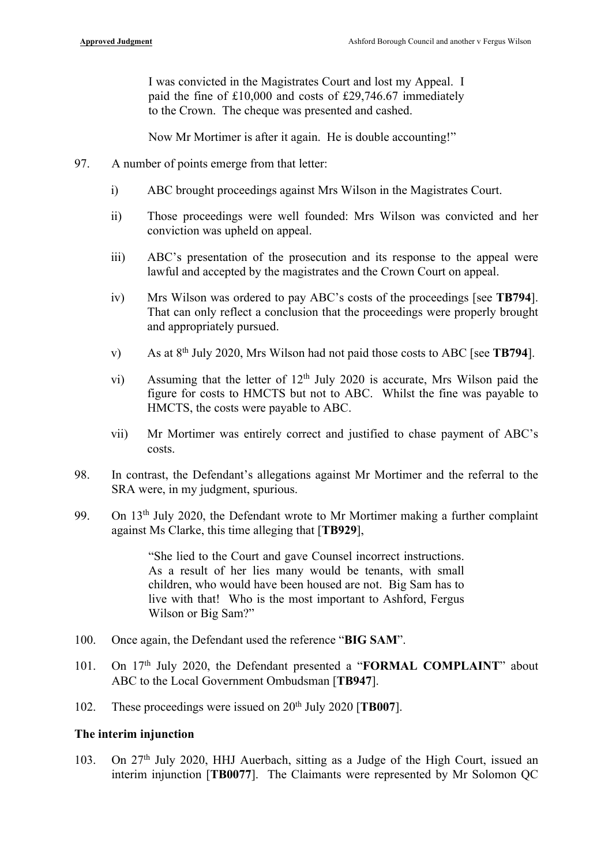I was convicted in the Magistrates Court and lost my Appeal. I paid the fine of £10,000 and costs of £29,746.67 immediately to the Crown. The cheque was presented and cashed.

Now Mr Mortimer is after it again. He is double accounting!"

- 97. A number of points emerge from that letter:
	- i) ABC brought proceedings against Mrs Wilson in the Magistrates Court.
	- ii) Those proceedings were well founded: Mrs Wilson was convicted and her conviction was upheld on appeal.
	- iii) ABC's presentation of the prosecution and its response to the appeal were lawful and accepted by the magistrates and the Crown Court on appeal.
	- iv) Mrs Wilson was ordered to pay ABC's costs of the proceedings [see **TB794**]. That can only reflect a conclusion that the proceedings were properly brought and appropriately pursued.
	- v) As at 8th July 2020, Mrs Wilson had not paid those costs to ABC [see **TB794**].
	- vi) Assuming that the letter of  $12<sup>th</sup>$  July 2020 is accurate, Mrs Wilson paid the figure for costs to HMCTS but not to ABC. Whilst the fine was payable to HMCTS, the costs were payable to ABC.
	- vii) Mr Mortimer was entirely correct and justified to chase payment of ABC's costs.
- 98. In contrast, the Defendant's allegations against Mr Mortimer and the referral to the SRA were, in my judgment, spurious.
- 99. On 13th July 2020, the Defendant wrote to Mr Mortimer making a further complaint against Ms Clarke, this time alleging that [**TB929**],

"She lied to the Court and gave Counsel incorrect instructions. As a result of her lies many would be tenants, with small children, who would have been housed are not. Big Sam has to live with that! Who is the most important to Ashford, Fergus Wilson or Big Sam?"

- 100. Once again, the Defendant used the reference "**BIG SAM**".
- 101. On 17<sup>th</sup> July 2020, the Defendant presented a "**FORMAL COMPLAINT**" about ABC to the Local Government Ombudsman [**TB947**].
- 102. These proceedings were issued on 20<sup>th</sup> July 2020 [**TB007**].

### **The interim injunction**

103. On 27<sup>th</sup> July 2020, HHJ Auerbach, sitting as a Judge of the High Court, issued an interim injunction [**TB0077**]. The Claimants were represented by Mr Solomon QC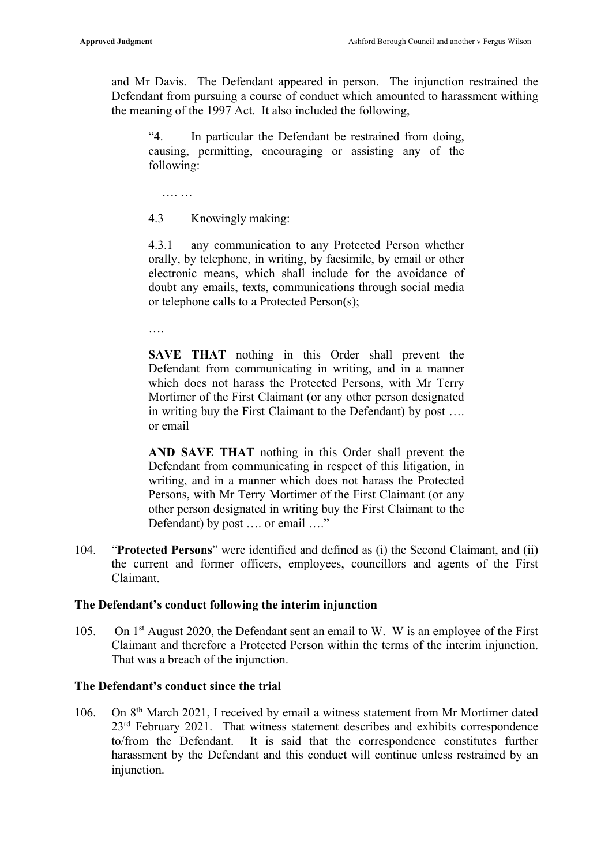and Mr Davis. The Defendant appeared in person. The injunction restrained the Defendant from pursuing a course of conduct which amounted to harassment withing the meaning of the 1997 Act. It also included the following,

"4. In particular the Defendant be restrained from doing, causing, permitting, encouraging or assisting any of the following:

………

4.3 Knowingly making:

4.3.1 any communication to any Protected Person whether orally, by telephone, in writing, by facsimile, by email or other electronic means, which shall include for the avoidance of doubt any emails, texts, communications through social media or telephone calls to a Protected Person(s);

….

**SAVE THAT** nothing in this Order shall prevent the Defendant from communicating in writing, and in a manner which does not harass the Protected Persons, with Mr Terry Mortimer of the First Claimant (or any other person designated in writing buy the First Claimant to the Defendant) by post …. or email

**AND SAVE THAT** nothing in this Order shall prevent the Defendant from communicating in respect of this litigation, in writing, and in a manner which does not harass the Protected Persons, with Mr Terry Mortimer of the First Claimant (or any other person designated in writing buy the First Claimant to the Defendant) by post .... or email ...."

104. "**Protected Persons**" were identified and defined as (i) the Second Claimant, and (ii) the current and former officers, employees, councillors and agents of the First Claimant.

### **The Defendant's conduct following the interim injunction**

105. On 1<sup>st</sup> August 2020, the Defendant sent an email to W. W is an employee of the First Claimant and therefore a Protected Person within the terms of the interim injunction. That was a breach of the injunction.

### **The Defendant's conduct since the trial**

106. On 8th March 2021, I received by email a witness statement from Mr Mortimer dated 23<sup>rd</sup> February 2021. That witness statement describes and exhibits correspondence to/from the Defendant. It is said that the correspondence constitutes further harassment by the Defendant and this conduct will continue unless restrained by an injunction.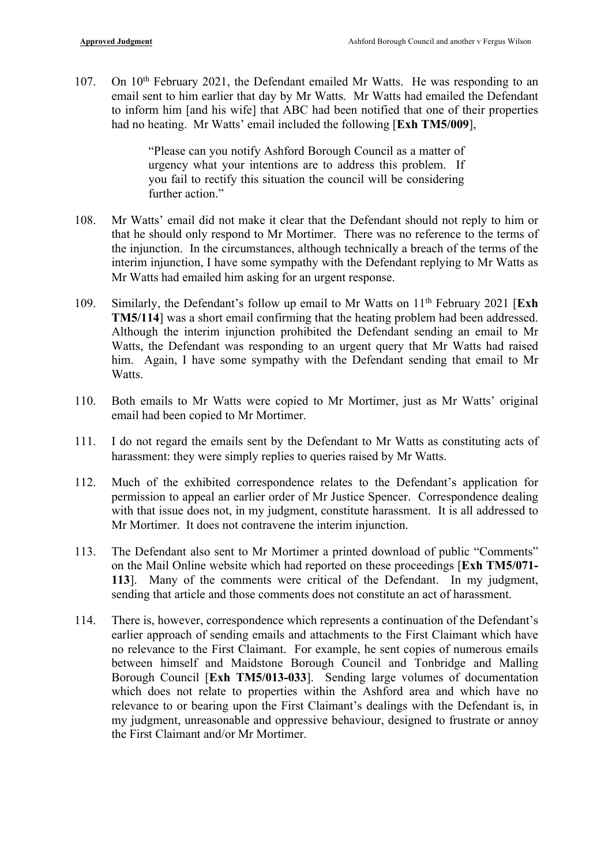107. On 10th February 2021, the Defendant emailed Mr Watts. He was responding to an email sent to him earlier that day by Mr Watts. Mr Watts had emailed the Defendant to inform him [and his wife] that ABC had been notified that one of their properties had no heating. Mr Watts' email included the following [**Exh TM5/009**],

> "Please can you notify Ashford Borough Council as a matter of urgency what your intentions are to address this problem. If you fail to rectify this situation the council will be considering further action."

- 108. Mr Watts' email did not make it clear that the Defendant should not reply to him or that he should only respond to Mr Mortimer. There was no reference to the terms of the injunction. In the circumstances, although technically a breach of the terms of the interim injunction, I have some sympathy with the Defendant replying to Mr Watts as Mr Watts had emailed him asking for an urgent response.
- 109. Similarly, the Defendant's follow up email to Mr Watts on 11th February 2021 [**Exh TM5/114**] was a short email confirming that the heating problem had been addressed. Although the interim injunction prohibited the Defendant sending an email to Mr Watts, the Defendant was responding to an urgent query that Mr Watts had raised him. Again, I have some sympathy with the Defendant sending that email to Mr Watts.
- 110. Both emails to Mr Watts were copied to Mr Mortimer, just as Mr Watts' original email had been copied to Mr Mortimer.
- 111. I do not regard the emails sent by the Defendant to Mr Watts as constituting acts of harassment: they were simply replies to queries raised by Mr Watts.
- 112. Much of the exhibited correspondence relates to the Defendant's application for permission to appeal an earlier order of Mr Justice Spencer. Correspondence dealing with that issue does not, in my judgment, constitute harassment. It is all addressed to Mr Mortimer. It does not contravene the interim injunction.
- 113. The Defendant also sent to Mr Mortimer a printed download of public "Comments" on the Mail Online website which had reported on these proceedings [**Exh TM5/071- 113**]. Many of the comments were critical of the Defendant. In my judgment, sending that article and those comments does not constitute an act of harassment.
- 114. There is, however, correspondence which represents a continuation of the Defendant's earlier approach of sending emails and attachments to the First Claimant which have no relevance to the First Claimant. For example, he sent copies of numerous emails between himself and Maidstone Borough Council and Tonbridge and Malling Borough Council [**Exh TM5/013-033**]. Sending large volumes of documentation which does not relate to properties within the Ashford area and which have no relevance to or bearing upon the First Claimant's dealings with the Defendant is, in my judgment, unreasonable and oppressive behaviour, designed to frustrate or annoy the First Claimant and/or Mr Mortimer.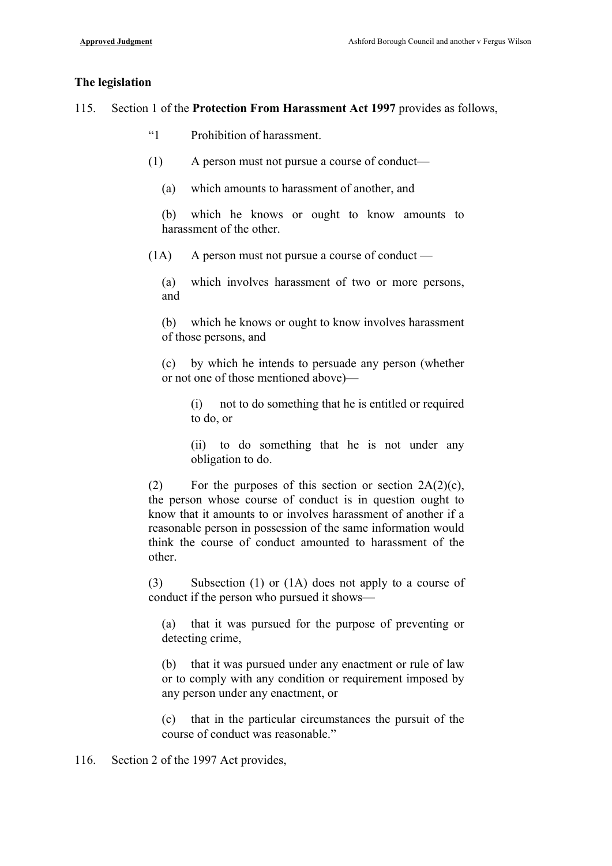#### **The legislation**

- 115. Section 1 of the **Protection From Harassment Act 1997** provides as follows,
	- "1 Prohibition of harassment.
	- (1) A person must not pursue a course of conduct—
		- (a) which amounts to harassment of another, and

(b) which he knows or ought to know amounts to harassment of the other.

- (1A) A person must not pursue a course of conduct
	- (a) which involves harassment of two or more persons, and

(b) which he knows or ought to know involves harassment of those persons, and

(c) by which he intends to persuade any person (whether or not one of those mentioned above)—

(i) not to do something that he is entitled or required to do, or

(ii) to do something that he is not under any obligation to do.

(2) For the purposes of this section or section  $2A(2)(c)$ , the person whose course of conduct is in question ought to know that it amounts to or involves harassment of another if a reasonable person in possession of the same information would think the course of conduct amounted to harassment of the other.

(3) Subsection (1) or (1A) does not apply to a course of conduct if the person who pursued it shows—

(a) that it was pursued for the purpose of preventing or detecting crime,

(b) that it was pursued under any enactment or rule of law or to comply with any condition or requirement imposed by any person under any enactment, or

(c) that in the particular circumstances the pursuit of the course of conduct was reasonable."

116. Section 2 of the 1997 Act provides,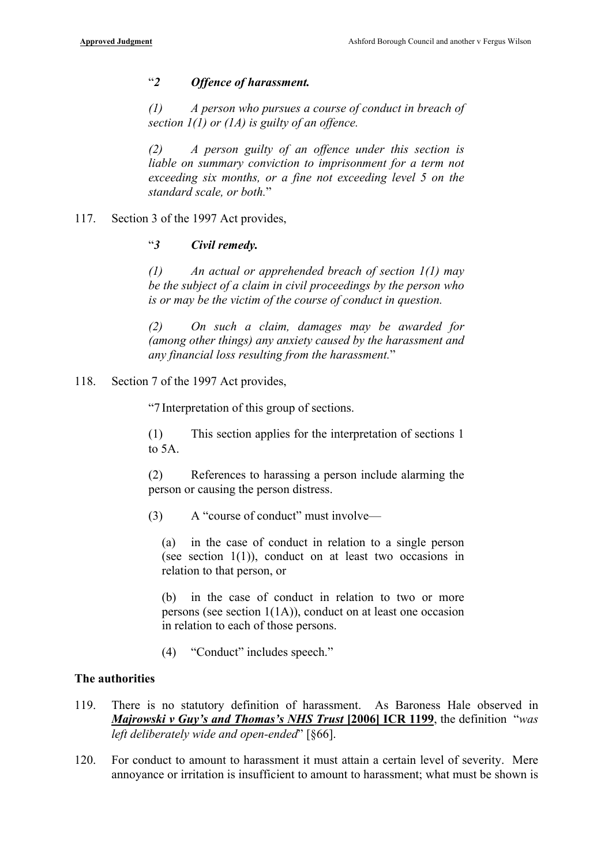### "*2 Offence of harassment.*

*(1) A person who pursues a course of conduct in breach of section 1(1) or (1A) is guilty of an offence.*

*(2) A person guilty of an offence under this section is liable on summary conviction to imprisonment for a term not exceeding six months, or a fine not exceeding level 5 on the standard scale, or both.*"

## 117. Section 3 of the 1997 Act provides,

# "*3 Civil remedy.*

*(1) An actual or apprehended breach of section 1(1) may be the subject of a claim in civil proceedings by the person who is or may be the victim of the course of conduct in question.*

*(2) On such a claim, damages may be awarded for (among other things) any anxiety caused by the harassment and any financial loss resulting from the harassment.*"

# 118. Section 7 of the 1997 Act provides,

"7 Interpretation of this group of sections.

(1) This section applies for the interpretation of sections 1 to 5A.

(2) References to harassing a person include alarming the person or causing the person distress.

(3) A "course of conduct" must involve—

(a) in the case of conduct in relation to a single person (see section  $1(1)$ ), conduct on at least two occasions in relation to that person, or

(b) in the case of conduct in relation to two or more persons (see section 1(1A)), conduct on at least one occasion in relation to each of those persons.

(4) "Conduct" includes speech."

### **The authorities**

- 119. There is no statutory definition of harassment. As Baroness Hale observed in *Majrowski v Guy's and Thomas's NHS Trust* **[2006] ICR 1199**, the definition "*was left deliberately wide and open-ended*" [§66].
- 120. For conduct to amount to harassment it must attain a certain level of severity. Mere annoyance or irritation is insufficient to amount to harassment; what must be shown is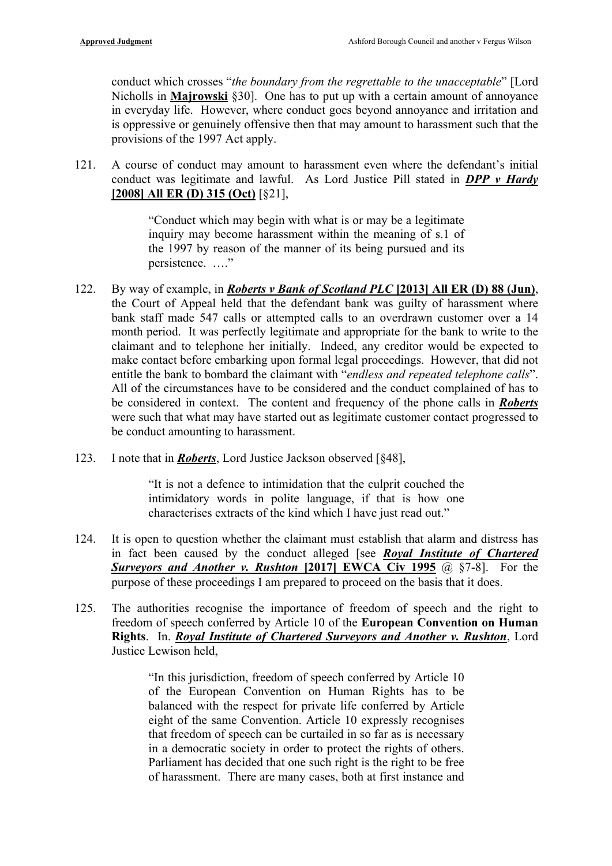conduct which crosses "*the boundary from the regrettable to the unacceptable*" [Lord Nicholls in **Majrowski** §30]. One has to put up with a certain amount of annoyance in everyday life. However, where conduct goes beyond annoyance and irritation and is oppressive or genuinely offensive then that may amount to harassment such that the provisions of the 1997 Act apply.

121. A course of conduct may amount to harassment even where the defendant's initial conduct was legitimate and lawful. As Lord Justice Pill stated in *DPP v Hardy* **[2008] All ER (D) 315 (Oct)** [§21],

> "Conduct which may begin with what is or may be a legitimate inquiry may become harassment within the meaning of s.1 of the 1997 by reason of the manner of its being pursued and its persistence. ...."

- 122. By way of example, in *Roberts v Bank of Scotland PLC* **[2013] All ER (D) 88 (Jun)**, the Court of Appeal held that the defendant bank was guilty of harassment where bank staff made 547 calls or attempted calls to an overdrawn customer over a 14 month period. It was perfectly legitimate and appropriate for the bank to write to the claimant and to telephone her initially. Indeed, any creditor would be expected to make contact before embarking upon formal legal proceedings. However, that did not entitle the bank to bombard the claimant with "*endless and repeated telephone calls*". All of the circumstances have to be considered and the conduct complained of has to be considered in context. The content and frequency of the phone calls in *Roberts* were such that what may have started out as legitimate customer contact progressed to be conduct amounting to harassment.
- 123. I note that in *Roberts*, Lord Justice Jackson observed [§48],

"It is not a defence to intimidation that the culprit couched the intimidatory words in polite language, if that is how one characterises extracts of the kind which I have just read out."

- 124. It is open to question whether the claimant must establish that alarm and distress has in fact been caused by the conduct alleged [see *Royal Institute of Chartered Surveyors and Another v. Rushton* **[2017] EWCA Civ 1995** @ §7-8]. For the purpose of these proceedings I am prepared to proceed on the basis that it does.
- 125. The authorities recognise the importance of freedom of speech and the right to freedom of speech conferred by Article 10 of the **European Convention on Human Rights**. In. *Royal Institute of Chartered Surveyors and Another v. Rushton*, Lord Justice Lewison held,

"In this jurisdiction, freedom of speech conferred by Article 10 of the European Convention on Human Rights has to be balanced with the respect for private life conferred by Article eight of the same Convention. Article 10 expressly recognises that freedom of speech can be curtailed in so far as is necessary in a democratic society in order to protect the rights of others. Parliament has decided that one such right is the right to be free of harassment. There are many cases, both at first instance and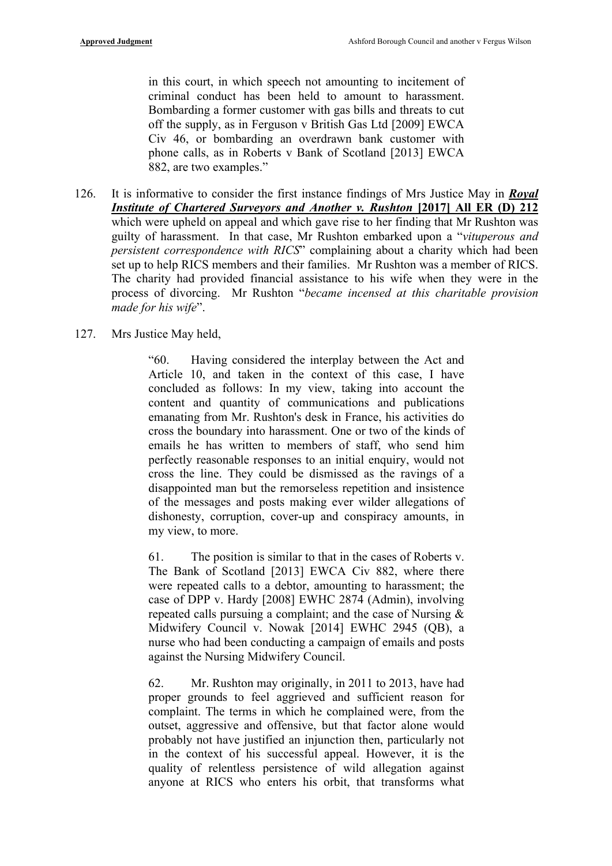in this court, in which speech not amounting to incitement of criminal conduct has been held to amount to harassment. Bombarding a former customer with gas bills and threats to cut off the supply, as in Ferguson v British Gas Ltd [2009] EWCA Civ 46, or bombarding an overdrawn bank customer with phone calls, as in Roberts v Bank of Scotland [2013] EWCA 882, are two examples."

- 126. It is informative to consider the first instance findings of Mrs Justice May in *Royal Institute of Chartered Surveyors and Another v. Rushton* **[2017] All ER (D) 212** which were upheld on appeal and which gave rise to her finding that Mr Rushton was guilty of harassment. In that case, Mr Rushton embarked upon a "*vituperous and persistent correspondence with RICS*" complaining about a charity which had been set up to help RICS members and their families. Mr Rushton was a member of RICS. The charity had provided financial assistance to his wife when they were in the process of divorcing. Mr Rushton "*became incensed at this charitable provision made for his wife*".
- 127. Mrs Justice May held,

"60. Having considered the interplay between the Act and Article 10, and taken in the context of this case, I have concluded as follows: In my view, taking into account the content and quantity of communications and publications emanating from Mr. Rushton's desk in France, his activities do cross the boundary into harassment. One or two of the kinds of emails he has written to members of staff, who send him perfectly reasonable responses to an initial enquiry, would not cross the line. They could be dismissed as the ravings of a disappointed man but the remorseless repetition and insistence of the messages and posts making ever wilder allegations of dishonesty, corruption, cover-up and conspiracy amounts, in my view, to more.

61. The position is similar to that in the cases of Roberts v. The Bank of Scotland [2013] EWCA Civ 882, where there were repeated calls to a debtor, amounting to harassment; the case of DPP v. Hardy [2008] EWHC 2874 (Admin), involving repeated calls pursuing a complaint; and the case of Nursing & Midwifery Council v. Nowak [2014] EWHC 2945 (QB), a nurse who had been conducting a campaign of emails and posts against the Nursing Midwifery Council.

62. Mr. Rushton may originally, in 2011 to 2013, have had proper grounds to feel aggrieved and sufficient reason for complaint. The terms in which he complained were, from the outset, aggressive and offensive, but that factor alone would probably not have justified an injunction then, particularly not in the context of his successful appeal. However, it is the quality of relentless persistence of wild allegation against anyone at RICS who enters his orbit, that transforms what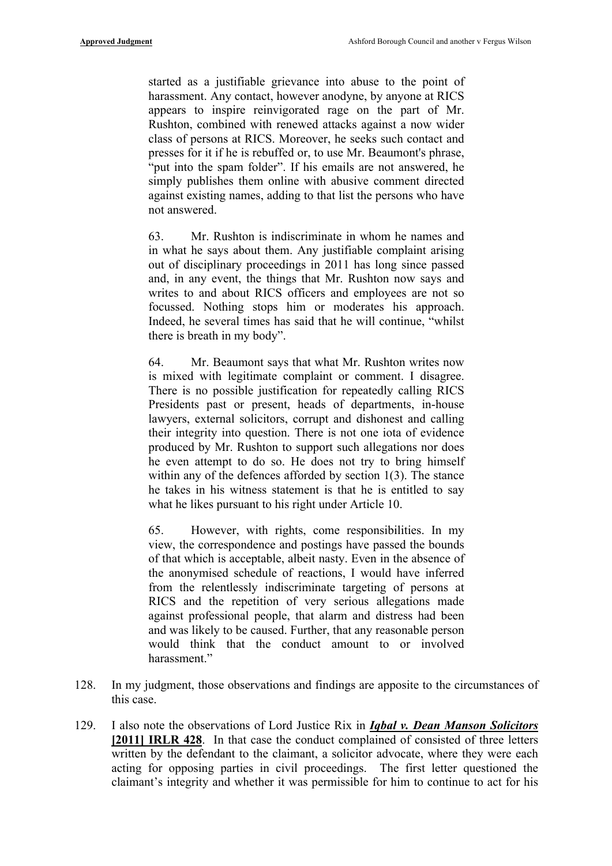started as a justifiable grievance into abuse to the point of harassment. Any contact, however anodyne, by anyone at RICS appears to inspire reinvigorated rage on the part of Mr. Rushton, combined with renewed attacks against a now wider class of persons at RICS. Moreover, he seeks such contact and presses for it if he is rebuffed or, to use Mr. Beaumont's phrase, "put into the spam folder". If his emails are not answered, he simply publishes them online with abusive comment directed against existing names, adding to that list the persons who have not answered.

63. Mr. Rushton is indiscriminate in whom he names and in what he says about them. Any justifiable complaint arising out of disciplinary proceedings in 2011 has long since passed and, in any event, the things that Mr. Rushton now says and writes to and about RICS officers and employees are not so focussed. Nothing stops him or moderates his approach. Indeed, he several times has said that he will continue, "whilst there is breath in my body".

64. Mr. Beaumont says that what Mr. Rushton writes now is mixed with legitimate complaint or comment. I disagree. There is no possible justification for repeatedly calling RICS Presidents past or present, heads of departments, in-house lawyers, external solicitors, corrupt and dishonest and calling their integrity into question. There is not one iota of evidence produced by Mr. Rushton to support such allegations nor does he even attempt to do so. He does not try to bring himself within any of the defences afforded by section 1(3). The stance he takes in his witness statement is that he is entitled to say what he likes pursuant to his right under Article 10.

65. However, with rights, come responsibilities. In my view, the correspondence and postings have passed the bounds of that which is acceptable, albeit nasty. Even in the absence of the anonymised schedule of reactions, I would have inferred from the relentlessly indiscriminate targeting of persons at RICS and the repetition of very serious allegations made against professional people, that alarm and distress had been and was likely to be caused. Further, that any reasonable person would think that the conduct amount to or involved harassment."

- 128. In my judgment, those observations and findings are apposite to the circumstances of this case.
- 129. I also note the observations of Lord Justice Rix in *Iqbal v. Dean Manson Solicitors* **[2011] IRLR 428**. In that case the conduct complained of consisted of three letters written by the defendant to the claimant, a solicitor advocate, where they were each acting for opposing parties in civil proceedings. The first letter questioned the claimant's integrity and whether it was permissible for him to continue to act for his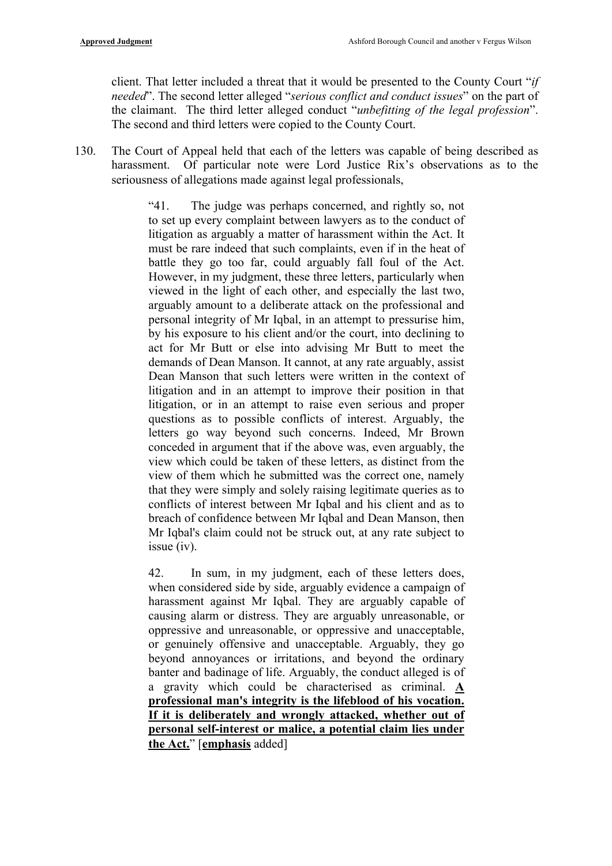client. That letter included a threat that it would be presented to the County Court "*if needed*". The second letter alleged "*serious conflict and conduct issues*" on the part of the claimant. The third letter alleged conduct "*unbefitting of the legal profession*". The second and third letters were copied to the County Court.

130. The Court of Appeal held that each of the letters was capable of being described as harassment. Of particular note were Lord Justice Rix's observations as to the seriousness of allegations made against legal professionals,

> "41. The judge was perhaps concerned, and rightly so, not to set up every complaint between lawyers as to the conduct of litigation as arguably a matter of harassment within the Act. It must be rare indeed that such complaints, even if in the heat of battle they go too far, could arguably fall foul of the Act. However, in my judgment, these three letters, particularly when viewed in the light of each other, and especially the last two, arguably amount to a deliberate attack on the professional and personal integrity of Mr Iqbal, in an attempt to pressurise him, by his exposure to his client and/or the court, into declining to act for Mr Butt or else into advising Mr Butt to meet the demands of Dean Manson. It cannot, at any rate arguably, assist Dean Manson that such letters were written in the context of litigation and in an attempt to improve their position in that litigation, or in an attempt to raise even serious and proper questions as to possible conflicts of interest. Arguably, the letters go way beyond such concerns. Indeed, Mr Brown conceded in argument that if the above was, even arguably, the view which could be taken of these letters, as distinct from the view of them which he submitted was the correct one, namely that they were simply and solely raising legitimate queries as to conflicts of interest between Mr Iqbal and his client and as to breach of confidence between Mr Iqbal and Dean Manson, then Mr Iqbal's claim could not be struck out, at any rate subject to issue (iv).

> 42. In sum, in my judgment, each of these letters does, when considered side by side, arguably evidence a campaign of harassment against Mr Iqbal. They are arguably capable of causing alarm or distress. They are arguably unreasonable, or oppressive and unreasonable, or oppressive and unacceptable, or genuinely offensive and unacceptable. Arguably, they go beyond annoyances or irritations, and beyond the ordinary banter and badinage of life. Arguably, the conduct alleged is of a gravity which could be characterised as criminal. **A professional man's integrity is the lifeblood of his vocation. If it is deliberately and wrongly attacked, whether out of personal self-interest or malice, a potential claim lies under the Act.**" [**emphasis** added]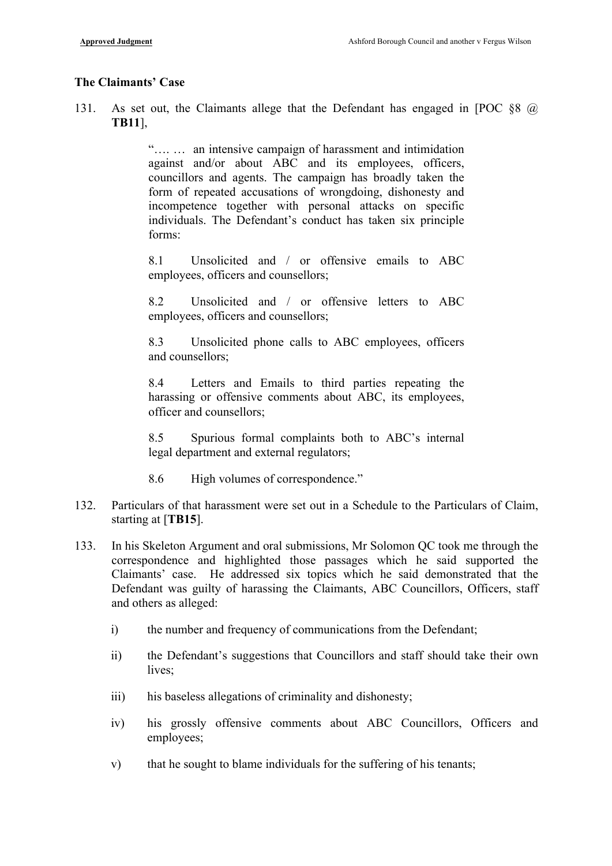### **The Claimants' Case**

131. As set out, the Claimants allege that the Defendant has engaged in [POC §8 @ **TB11**],

> "…. … an intensive campaign of harassment and intimidation against and/or about ABC and its employees, officers, councillors and agents. The campaign has broadly taken the form of repeated accusations of wrongdoing, dishonesty and incompetence together with personal attacks on specific individuals. The Defendant's conduct has taken six principle forms:

> 8.1 Unsolicited and / or offensive emails to ABC employees, officers and counsellors;

> 8.2 Unsolicited and / or offensive letters to ABC employees, officers and counsellors;

> 8.3 Unsolicited phone calls to ABC employees, officers and counsellors;

> 8.4 Letters and Emails to third parties repeating the harassing or offensive comments about ABC, its employees, officer and counsellors;

> 8.5 Spurious formal complaints both to ABC's internal legal department and external regulators;

- 8.6 High volumes of correspondence."
- 132. Particulars of that harassment were set out in a Schedule to the Particulars of Claim, starting at [**TB15**].
- 133. In his Skeleton Argument and oral submissions, Mr Solomon QC took me through the correspondence and highlighted those passages which he said supported the Claimants' case. He addressed six topics which he said demonstrated that the Defendant was guilty of harassing the Claimants, ABC Councillors, Officers, staff and others as alleged:
	- i) the number and frequency of communications from the Defendant;
	- ii) the Defendant's suggestions that Councillors and staff should take their own lives;
	- iii) his baseless allegations of criminality and dishonesty;
	- iv) his grossly offensive comments about ABC Councillors, Officers and employees;
	- v) that he sought to blame individuals for the suffering of his tenants;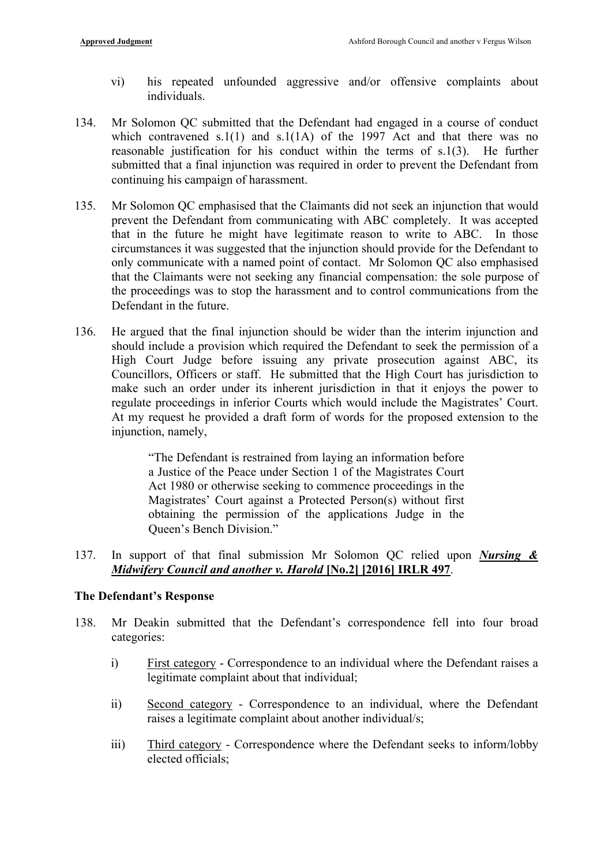- vi) his repeated unfounded aggressive and/or offensive complaints about individuals.
- 134. Mr Solomon QC submitted that the Defendant had engaged in a course of conduct which contravened s.1(1) and s.1(1A) of the 1997 Act and that there was no reasonable justification for his conduct within the terms of s.1(3). He further submitted that a final injunction was required in order to prevent the Defendant from continuing his campaign of harassment.
- 135. Mr Solomon QC emphasised that the Claimants did not seek an injunction that would prevent the Defendant from communicating with ABC completely. It was accepted that in the future he might have legitimate reason to write to ABC. In those circumstances it was suggested that the injunction should provide for the Defendant to only communicate with a named point of contact. Mr Solomon QC also emphasised that the Claimants were not seeking any financial compensation: the sole purpose of the proceedings was to stop the harassment and to control communications from the Defendant in the future.
- 136. He argued that the final injunction should be wider than the interim injunction and should include a provision which required the Defendant to seek the permission of a High Court Judge before issuing any private prosecution against ABC, its Councillors, Officers or staff. He submitted that the High Court has jurisdiction to make such an order under its inherent jurisdiction in that it enjoys the power to regulate proceedings in inferior Courts which would include the Magistrates' Court. At my request he provided a draft form of words for the proposed extension to the injunction, namely,

"The Defendant is restrained from laying an information before a Justice of the Peace under Section 1 of the Magistrates Court Act 1980 or otherwise seeking to commence proceedings in the Magistrates' Court against a Protected Person(s) without first obtaining the permission of the applications Judge in the Queen's Bench Division."

# 137. In support of that final submission Mr Solomon QC relied upon *Nursing & Midwifery Council and another v. Harold* **[No.2] [2016] IRLR 497**.

### **The Defendant's Response**

- 138. Mr Deakin submitted that the Defendant's correspondence fell into four broad categories:
	- i) First category Correspondence to an individual where the Defendant raises a legitimate complaint about that individual;
	- ii) Second category Correspondence to an individual, where the Defendant raises a legitimate complaint about another individual/s;
	- iii) Third category Correspondence where the Defendant seeks to inform/lobby elected officials;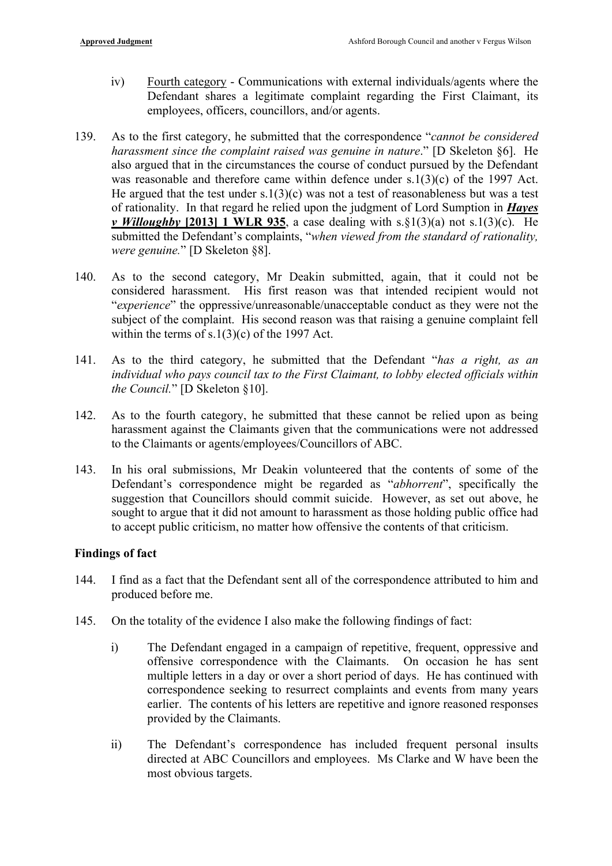- iv) Fourth category Communications with external individuals/agents where the Defendant shares a legitimate complaint regarding the First Claimant, its employees, officers, councillors, and/or agents.
- 139. As to the first category, he submitted that the correspondence "*cannot be considered harassment since the complaint raised was genuine in nature*." [D Skeleton §6]. He also argued that in the circumstances the course of conduct pursued by the Defendant was reasonable and therefore came within defence under s.1(3)(c) of the 1997 Act. He argued that the test under  $s.1(3)(c)$  was not a test of reasonableness but was a test of rationality. In that regard he relied upon the judgment of Lord Sumption in *Hayes v Willoughby* [2013] 1 WLR 935, a case dealing with s. §1(3)(a) not s. 1(3)(c). He submitted the Defendant's complaints, "*when viewed from the standard of rationality, were genuine.*" [D Skeleton §8].
- 140. As to the second category, Mr Deakin submitted, again, that it could not be considered harassment. His first reason was that intended recipient would not "*experience*" the oppressive/unreasonable/unacceptable conduct as they were not the subject of the complaint. His second reason was that raising a genuine complaint fell within the terms of s.1(3)(c) of the 1997 Act.
- 141. As to the third category, he submitted that the Defendant "*has a right, as an individual who pays council tax to the First Claimant, to lobby elected officials within the Council.*" [D Skeleton §10].
- 142. As to the fourth category, he submitted that these cannot be relied upon as being harassment against the Claimants given that the communications were not addressed to the Claimants or agents/employees/Councillors of ABC.
- 143. In his oral submissions, Mr Deakin volunteered that the contents of some of the Defendant's correspondence might be regarded as "*abhorrent*", specifically the suggestion that Councillors should commit suicide. However, as set out above, he sought to argue that it did not amount to harassment as those holding public office had to accept public criticism, no matter how offensive the contents of that criticism.

# **Findings of fact**

- 144. I find as a fact that the Defendant sent all of the correspondence attributed to him and produced before me.
- 145. On the totality of the evidence I also make the following findings of fact:
	- i) The Defendant engaged in a campaign of repetitive, frequent, oppressive and offensive correspondence with the Claimants. On occasion he has sent multiple letters in a day or over a short period of days. He has continued with correspondence seeking to resurrect complaints and events from many years earlier. The contents of his letters are repetitive and ignore reasoned responses provided by the Claimants.
	- ii) The Defendant's correspondence has included frequent personal insults directed at ABC Councillors and employees. Ms Clarke and W have been the most obvious targets.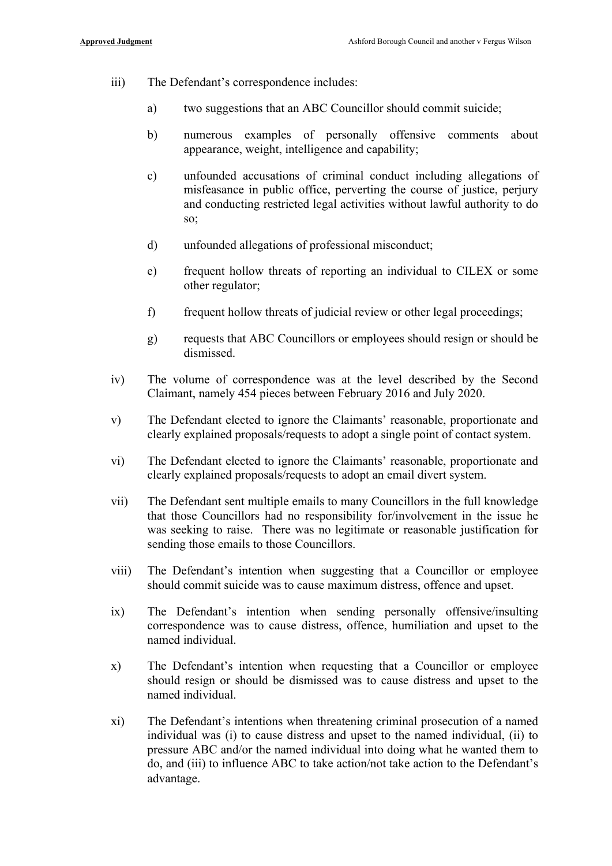- iii) The Defendant's correspondence includes:
	- a) two suggestions that an ABC Councillor should commit suicide;
	- b) numerous examples of personally offensive comments about appearance, weight, intelligence and capability;
	- c) unfounded accusations of criminal conduct including allegations of misfeasance in public office, perverting the course of justice, perjury and conducting restricted legal activities without lawful authority to do so;
	- d) unfounded allegations of professional misconduct;
	- e) frequent hollow threats of reporting an individual to CILEX or some other regulator;
	- f) frequent hollow threats of judicial review or other legal proceedings;
	- g) requests that ABC Councillors or employees should resign or should be dismissed.
- iv) The volume of correspondence was at the level described by the Second Claimant, namely 454 pieces between February 2016 and July 2020.
- v) The Defendant elected to ignore the Claimants' reasonable, proportionate and clearly explained proposals/requests to adopt a single point of contact system.
- vi) The Defendant elected to ignore the Claimants' reasonable, proportionate and clearly explained proposals/requests to adopt an email divert system.
- vii) The Defendant sent multiple emails to many Councillors in the full knowledge that those Councillors had no responsibility for/involvement in the issue he was seeking to raise. There was no legitimate or reasonable justification for sending those emails to those Councillors.
- viii) The Defendant's intention when suggesting that a Councillor or employee should commit suicide was to cause maximum distress, offence and upset.
- ix) The Defendant's intention when sending personally offensive/insulting correspondence was to cause distress, offence, humiliation and upset to the named individual.
- x) The Defendant's intention when requesting that a Councillor or employee should resign or should be dismissed was to cause distress and upset to the named individual.
- xi) The Defendant's intentions when threatening criminal prosecution of a named individual was (i) to cause distress and upset to the named individual, (ii) to pressure ABC and/or the named individual into doing what he wanted them to do, and (iii) to influence ABC to take action/not take action to the Defendant's advantage.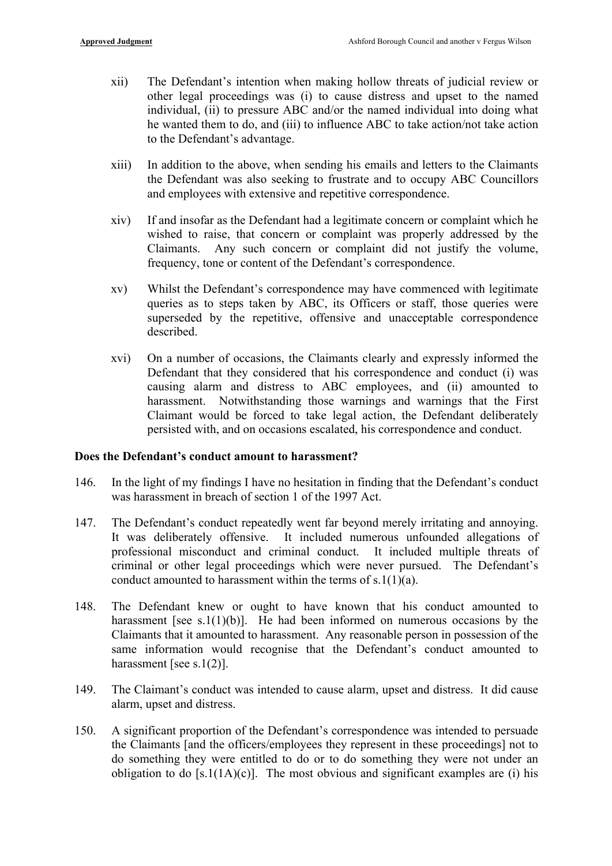- xii) The Defendant's intention when making hollow threats of judicial review or other legal proceedings was (i) to cause distress and upset to the named individual, (ii) to pressure ABC and/or the named individual into doing what he wanted them to do, and (iii) to influence ABC to take action/not take action to the Defendant's advantage.
- xiii) In addition to the above, when sending his emails and letters to the Claimants the Defendant was also seeking to frustrate and to occupy ABC Councillors and employees with extensive and repetitive correspondence.
- xiv) If and insofar as the Defendant had a legitimate concern or complaint which he wished to raise, that concern or complaint was properly addressed by the Claimants. Any such concern or complaint did not justify the volume, frequency, tone or content of the Defendant's correspondence.
- xv) Whilst the Defendant's correspondence may have commenced with legitimate queries as to steps taken by ABC, its Officers or staff, those queries were superseded by the repetitive, offensive and unacceptable correspondence described.
- xvi) On a number of occasions, the Claimants clearly and expressly informed the Defendant that they considered that his correspondence and conduct (i) was causing alarm and distress to ABC employees, and (ii) amounted to harassment. Notwithstanding those warnings and warnings that the First Claimant would be forced to take legal action, the Defendant deliberately persisted with, and on occasions escalated, his correspondence and conduct.

### **Does the Defendant's conduct amount to harassment?**

- 146. In the light of my findings I have no hesitation in finding that the Defendant's conduct was harassment in breach of section 1 of the 1997 Act.
- 147. The Defendant's conduct repeatedly went far beyond merely irritating and annoying. It was deliberately offensive. It included numerous unfounded allegations of professional misconduct and criminal conduct. It included multiple threats of criminal or other legal proceedings which were never pursued. The Defendant's conduct amounted to harassment within the terms of s.1(1)(a).
- 148. The Defendant knew or ought to have known that his conduct amounted to harassment [see s.1(1)(b)]. He had been informed on numerous occasions by the Claimants that it amounted to harassment. Any reasonable person in possession of the same information would recognise that the Defendant's conduct amounted to harassment [see s.1 $(2)$ ].
- 149. The Claimant's conduct was intended to cause alarm, upset and distress. It did cause alarm, upset and distress.
- 150. A significant proportion of the Defendant's correspondence was intended to persuade the Claimants [and the officers/employees they represent in these proceedings] not to do something they were entitled to do or to do something they were not under an obligation to do  $[s.1(1A)(c)]$ . The most obvious and significant examples are (i) his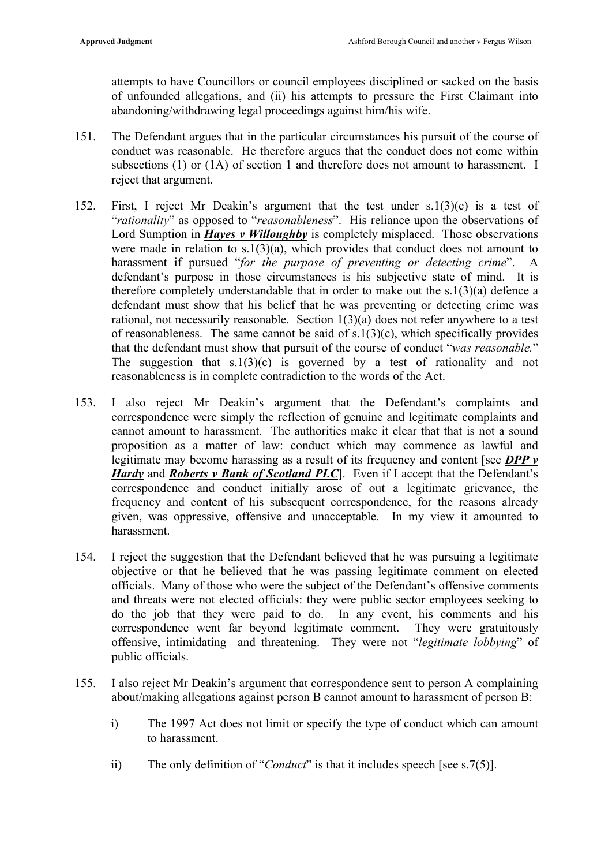attempts to have Councillors or council employees disciplined or sacked on the basis of unfounded allegations, and (ii) his attempts to pressure the First Claimant into abandoning/withdrawing legal proceedings against him/his wife.

- 151. The Defendant argues that in the particular circumstances his pursuit of the course of conduct was reasonable. He therefore argues that the conduct does not come within subsections (1) or (1A) of section 1 and therefore does not amount to harassment. I reject that argument.
- 152. First, I reject Mr Deakin's argument that the test under s.1(3)(c) is a test of "*rationality*" as opposed to "*reasonableness*". His reliance upon the observations of Lord Sumption in *Hayes v Willoughby* is completely misplaced. Those observations were made in relation to  $s.1(3)(a)$ , which provides that conduct does not amount to harassment if pursued "*for the purpose of preventing or detecting crime*". A defendant's purpose in those circumstances is his subjective state of mind. It is therefore completely understandable that in order to make out the s.1(3)(a) defence a defendant must show that his belief that he was preventing or detecting crime was rational, not necessarily reasonable. Section 1(3)(a) does not refer anywhere to a test of reasonableness. The same cannot be said of  $s.1(3)(c)$ , which specifically provides that the defendant must show that pursuit of the course of conduct "*was reasonable.*" The suggestion that  $s.1(3)(c)$  is governed by a test of rationality and not reasonableness is in complete contradiction to the words of the Act.
- 153. I also reject Mr Deakin's argument that the Defendant's complaints and correspondence were simply the reflection of genuine and legitimate complaints and cannot amount to harassment. The authorities make it clear that that is not a sound proposition as a matter of law: conduct which may commence as lawful and legitimate may become harassing as a result of its frequency and content [see *DPP v Hardy* and *Roberts v Bank of Scotland PLC*. Even if I accept that the Defendant's correspondence and conduct initially arose of out a legitimate grievance, the frequency and content of his subsequent correspondence, for the reasons already given, was oppressive, offensive and unacceptable. In my view it amounted to harassment.
- 154. I reject the suggestion that the Defendant believed that he was pursuing a legitimate objective or that he believed that he was passing legitimate comment on elected officials. Many of those who were the subject of the Defendant's offensive comments and threats were not elected officials: they were public sector employees seeking to do the job that they were paid to do. In any event, his comments and his correspondence went far beyond legitimate comment. They were gratuitously offensive, intimidating and threatening. They were not "*legitimate lobbying*" of public officials.
- 155. I also reject Mr Deakin's argument that correspondence sent to person A complaining about/making allegations against person B cannot amount to harassment of person B:
	- i) The 1997 Act does not limit or specify the type of conduct which can amount to harassment.
	- ii) The only definition of "*Conduct*" is that it includes speech [see s.7(5)].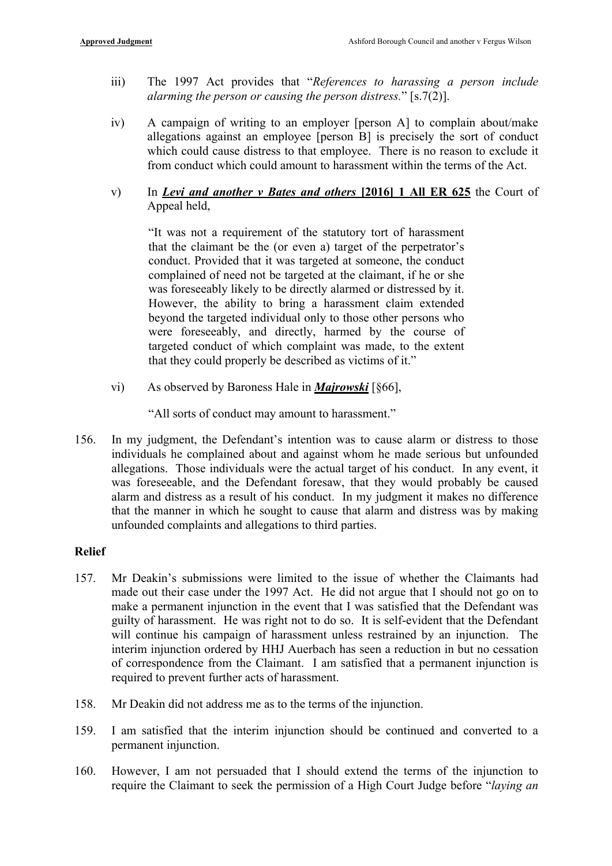- iii) The 1997 Act provides that "*References to harassing a person include alarming the person or causing the person distress.*" [s.7(2)].
- iv) A campaign of writing to an employer [person A] to complain about/make allegations against an employee [person B] is precisely the sort of conduct which could cause distress to that employee. There is no reason to exclude it from conduct which could amount to harassment within the terms of the Act.
- v) In *Levi and another v Bates and others* **[2016] 1 All ER 625** the Court of Appeal held,

"It was not a requirement of the statutory tort of harassment that the claimant be the (or even a) target of the perpetrator's conduct. Provided that it was targeted at someone, the conduct complained of need not be targeted at the claimant, if he or she was foreseeably likely to be directly alarmed or distressed by it. However, the ability to bring a harassment claim extended beyond the targeted individual only to those other persons who were foreseeably, and directly, harmed by the course of targeted conduct of which complaint was made, to the extent that they could properly be described as victims of it."

vi) As observed by Baroness Hale in *Majrowski* [§66],

"All sorts of conduct may amount to harassment."

156. In my judgment, the Defendant's intention was to cause alarm or distress to those individuals he complained about and against whom he made serious but unfounded allegations. Those individuals were the actual target of his conduct. In any event, it was foreseeable, and the Defendant foresaw, that they would probably be caused alarm and distress as a result of his conduct. In my judgment it makes no difference that the manner in which he sought to cause that alarm and distress was by making unfounded complaints and allegations to third parties.

# **Relief**

- 157. Mr Deakin's submissions were limited to the issue of whether the Claimants had made out their case under the 1997 Act. He did not argue that I should not go on to make a permanent injunction in the event that I was satisfied that the Defendant was guilty of harassment. He was right not to do so. It is self-evident that the Defendant will continue his campaign of harassment unless restrained by an injunction. The interim injunction ordered by HHJ Auerbach has seen a reduction in but no cessation of correspondence from the Claimant. I am satisfied that a permanent injunction is required to prevent further acts of harassment.
- 158. Mr Deakin did not address me as to the terms of the injunction.
- 159. I am satisfied that the interim injunction should be continued and converted to a permanent injunction.
- 160. However, I am not persuaded that I should extend the terms of the injunction to require the Claimant to seek the permission of a High Court Judge before "*laying an*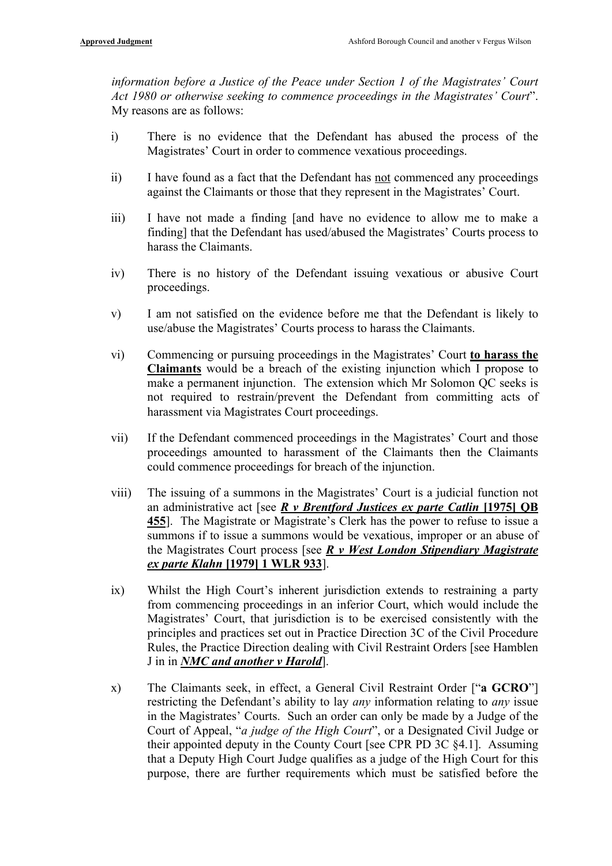*information before a Justice of the Peace under Section 1 of the Magistrates' Court Act 1980 or otherwise seeking to commence proceedings in the Magistrates' Court*". My reasons are as follows:

- i) There is no evidence that the Defendant has abused the process of the Magistrates' Court in order to commence vexatious proceedings.
- ii) I have found as a fact that the Defendant has not commenced any proceedings against the Claimants or those that they represent in the Magistrates' Court.
- iii) I have not made a finding [and have no evidence to allow me to make a finding] that the Defendant has used/abused the Magistrates' Courts process to harass the Claimants.
- iv) There is no history of the Defendant issuing vexatious or abusive Court proceedings.
- v) I am not satisfied on the evidence before me that the Defendant is likely to use/abuse the Magistrates' Courts process to harass the Claimants.
- vi) Commencing or pursuing proceedings in the Magistrates' Court **to harass the Claimants** would be a breach of the existing injunction which I propose to make a permanent injunction. The extension which Mr Solomon QC seeks is not required to restrain/prevent the Defendant from committing acts of harassment via Magistrates Court proceedings.
- vii) If the Defendant commenced proceedings in the Magistrates' Court and those proceedings amounted to harassment of the Claimants then the Claimants could commence proceedings for breach of the injunction.
- viii) The issuing of a summons in the Magistrates' Court is a judicial function not an administrative act [see *R v Brentford Justices ex parte Catlin* **[1975] QB 455**]. The Magistrate or Magistrate's Clerk has the power to refuse to issue a summons if to issue a summons would be vexatious, improper or an abuse of the Magistrates Court process [see *R v West London Stipendiary Magistrate ex parte Klahn* **[1979] 1 WLR 933**].
- ix) Whilst the High Court's inherent jurisdiction extends to restraining a party from commencing proceedings in an inferior Court, which would include the Magistrates' Court, that jurisdiction is to be exercised consistently with the principles and practices set out in Practice Direction 3C of the Civil Procedure Rules, the Practice Direction dealing with Civil Restraint Orders [see Hamblen J in in *NMC and another v Harold*].
- x) The Claimants seek, in effect, a General Civil Restraint Order ["**a GCRO**"] restricting the Defendant's ability to lay *any* information relating to *any* issue in the Magistrates' Courts. Such an order can only be made by a Judge of the Court of Appeal, "*a judge of the High Court*", or a Designated Civil Judge or their appointed deputy in the County Court [see CPR PD 3C §4.1]. Assuming that a Deputy High Court Judge qualifies as a judge of the High Court for this purpose, there are further requirements which must be satisfied before the